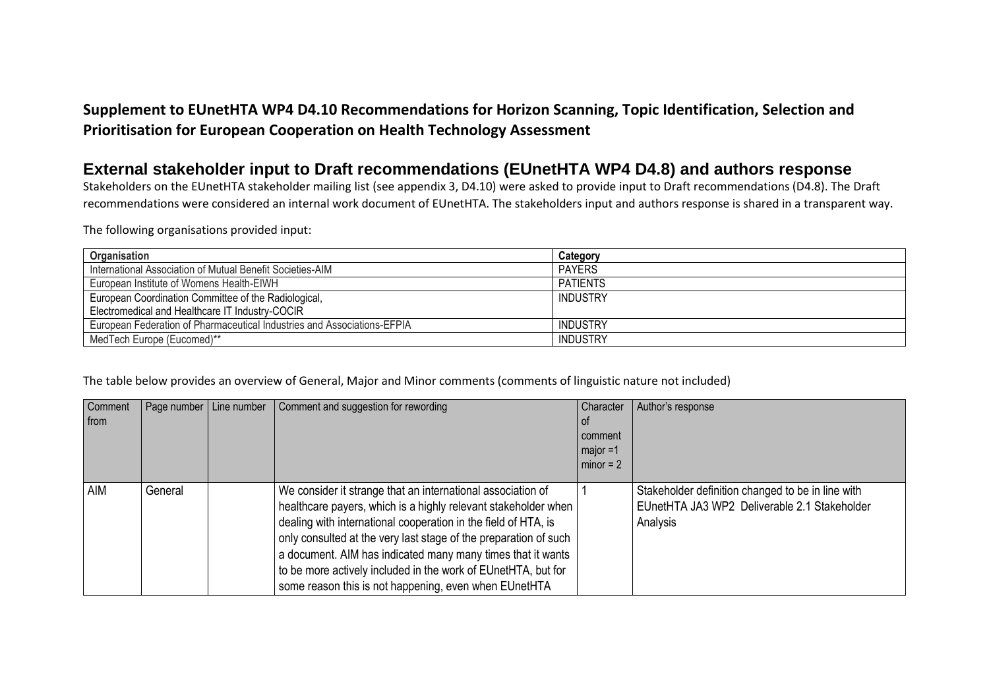## **Supplement to EUnetHTA WP4 D4.10 Recommendations for Horizon Scanning, Topic Identification, Selection and Prioritisation for European Cooperation on Health Technology Assessment**

## **External stakeholder input to Draft recommendations (EUnetHTA WP4 D4.8) and authors response**

Stakeholders on the EUnetHTA stakeholder mailing list (see appendix 3, D4.10) were asked to provide input to Draft recommendations (D4.8). The Draft recommendations were considered an internal work document of EUnetHTA. The stakeholders input and authors response is shared in a transparent way.

The following organisations provided input:

| Organisation                                                            | Category        |
|-------------------------------------------------------------------------|-----------------|
| International Association of Mutual Benefit Societies-AIM               | <b>PAYERS</b>   |
| European Institute of Womens Health-EIWH                                | <b>PATIENTS</b> |
| European Coordination Committee of the Radiological,                    | INDUSTRY        |
| Electromedical and Healthcare IT Industry-COCIR                         |                 |
| European Federation of Pharmaceutical Industries and Associations-EFPIA | INDUSTRY        |
| MedTech Europe (Eucomed)**                                              | INDUSTRY        |

## The table below provides an overview of General, Major and Minor comments (comments of linguistic nature not included)

| Comment<br>from |         | Page number   Line number | Comment and suggestion for rewording                                                                                                                                                                                                                                                                                                                                                                                                                         | Character<br>0t<br>comment<br>$maior = 1$<br>$\sim$ minor = 2 | Author's response                                                                                             |
|-----------------|---------|---------------------------|--------------------------------------------------------------------------------------------------------------------------------------------------------------------------------------------------------------------------------------------------------------------------------------------------------------------------------------------------------------------------------------------------------------------------------------------------------------|---------------------------------------------------------------|---------------------------------------------------------------------------------------------------------------|
| <b>AIM</b>      | General |                           | We consider it strange that an international association of<br>healthcare payers, which is a highly relevant stakeholder when<br>dealing with international cooperation in the field of HTA, is<br>only consulted at the very last stage of the preparation of such<br>a document. AIM has indicated many many times that it wants<br>to be more actively included in the work of EUnetHTA, but for<br>some reason this is not happening, even when EUnetHTA |                                                               | Stakeholder definition changed to be in line with<br>EUnetHTA JA3 WP2 Deliverable 2.1 Stakeholder<br>Analysis |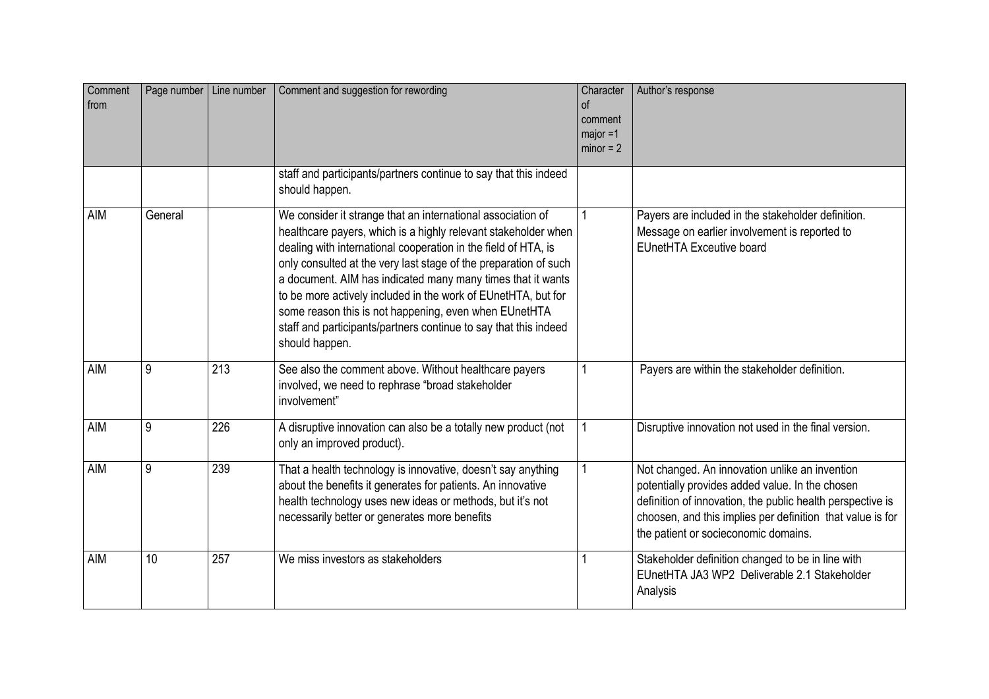| Comment<br>from |         | Page number   Line number | Comment and suggestion for rewording                                                                                                                                                                                                                                                                                                                                                                                                                                                                                                               | Character<br>0f<br>comment<br>$maior = 1$<br>$minor = 2$ | Author's response                                                                                                                                                                                                                                                     |
|-----------------|---------|---------------------------|----------------------------------------------------------------------------------------------------------------------------------------------------------------------------------------------------------------------------------------------------------------------------------------------------------------------------------------------------------------------------------------------------------------------------------------------------------------------------------------------------------------------------------------------------|----------------------------------------------------------|-----------------------------------------------------------------------------------------------------------------------------------------------------------------------------------------------------------------------------------------------------------------------|
|                 |         |                           | staff and participants/partners continue to say that this indeed<br>should happen.                                                                                                                                                                                                                                                                                                                                                                                                                                                                 |                                                          |                                                                                                                                                                                                                                                                       |
| AIM             | General |                           | We consider it strange that an international association of<br>healthcare payers, which is a highly relevant stakeholder when<br>dealing with international cooperation in the field of HTA, is<br>only consulted at the very last stage of the preparation of such<br>a document. AIM has indicated many many times that it wants<br>to be more actively included in the work of EUnetHTA, but for<br>some reason this is not happening, even when EUnetHTA<br>staff and participants/partners continue to say that this indeed<br>should happen. |                                                          | Payers are included in the stakeholder definition.<br>Message on earlier involvement is reported to<br><b>EUnetHTA Exceutive board</b>                                                                                                                                |
| <b>AIM</b>      | 9       | 213                       | See also the comment above. Without healthcare payers<br>involved, we need to rephrase "broad stakeholder<br>involvement"                                                                                                                                                                                                                                                                                                                                                                                                                          |                                                          | Payers are within the stakeholder definition.                                                                                                                                                                                                                         |
| AIM             | 9       | 226                       | A disruptive innovation can also be a totally new product (not<br>only an improved product).                                                                                                                                                                                                                                                                                                                                                                                                                                                       |                                                          | Disruptive innovation not used in the final version.                                                                                                                                                                                                                  |
| <b>AIM</b>      | 9       | 239                       | That a health technology is innovative, doesn't say anything<br>about the benefits it generates for patients. An innovative<br>health technology uses new ideas or methods, but it's not<br>necessarily better or generates more benefits                                                                                                                                                                                                                                                                                                          |                                                          | Not changed. An innovation unlike an invention<br>potentially provides added value. In the chosen<br>definition of innovation, the public health perspective is<br>choosen, and this implies per definition that value is for<br>the patient or socieconomic domains. |
| <b>AIM</b>      | 10      | 257                       | We miss investors as stakeholders                                                                                                                                                                                                                                                                                                                                                                                                                                                                                                                  |                                                          | Stakeholder definition changed to be in line with<br>EUnetHTA JA3 WP2 Deliverable 2.1 Stakeholder<br>Analysis                                                                                                                                                         |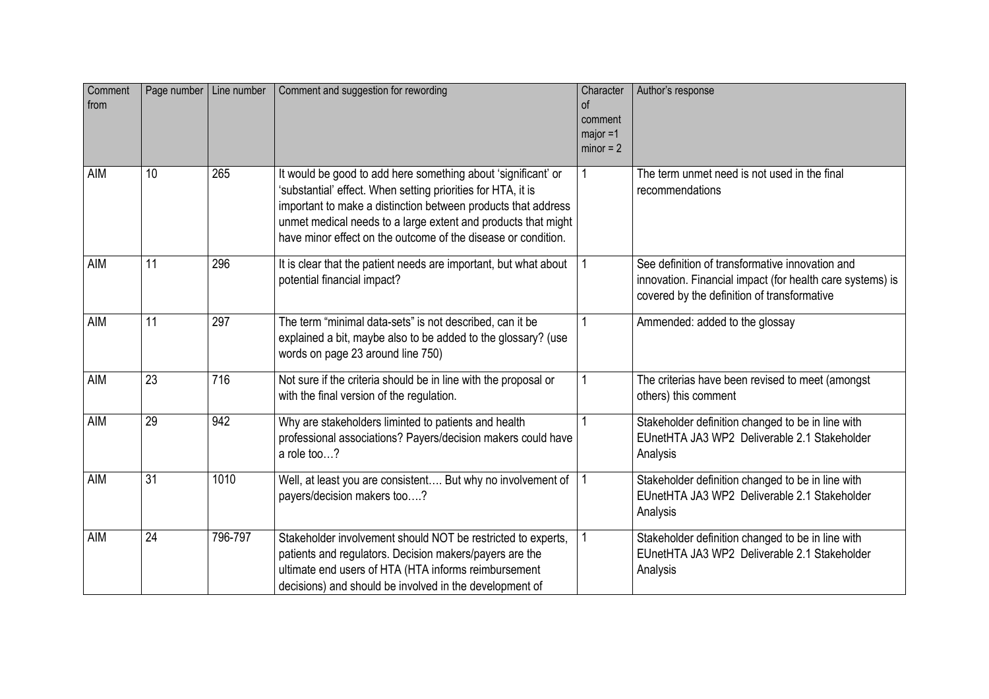| Comment<br>from |                 | Page number   Line number | Comment and suggestion for rewording                                                                                                                                                                                                                                                                                             | Character<br>$\sigma$<br>comment<br>$major = 1$<br>$minor = 2$ | Author's response                                                                                                                                           |
|-----------------|-----------------|---------------------------|----------------------------------------------------------------------------------------------------------------------------------------------------------------------------------------------------------------------------------------------------------------------------------------------------------------------------------|----------------------------------------------------------------|-------------------------------------------------------------------------------------------------------------------------------------------------------------|
| AIM             | 10              | 265                       | It would be good to add here something about 'significant' or<br>'substantial' effect. When setting priorities for HTA, it is<br>important to make a distinction between products that address<br>unmet medical needs to a large extent and products that might<br>have minor effect on the outcome of the disease or condition. |                                                                | The term unmet need is not used in the final<br>recommendations                                                                                             |
| AIM             | 11              | 296                       | It is clear that the patient needs are important, but what about<br>potential financial impact?                                                                                                                                                                                                                                  |                                                                | See definition of transformative innovation and<br>innovation. Financial impact (for health care systems) is<br>covered by the definition of transformative |
| AIM             | 11              | 297                       | The term "minimal data-sets" is not described, can it be<br>explained a bit, maybe also to be added to the glossary? (use<br>words on page 23 around line 750)                                                                                                                                                                   |                                                                | Ammended: added to the glossay                                                                                                                              |
| AIM             | 23              | 716                       | Not sure if the criteria should be in line with the proposal or<br>with the final version of the regulation.                                                                                                                                                                                                                     |                                                                | The criterias have been revised to meet (amongst<br>others) this comment                                                                                    |
| <b>AIM</b>      | 29              | $\overline{942}$          | Why are stakeholders liminted to patients and health<br>professional associations? Payers/decision makers could have<br>a role too?                                                                                                                                                                                              |                                                                | Stakeholder definition changed to be in line with<br>EUnetHTA JA3 WP2 Deliverable 2.1 Stakeholder<br>Analysis                                               |
| AIM             | $\overline{31}$ | 1010                      | Well, at least you are consistent But why no involvement of<br>payers/decision makers too?                                                                                                                                                                                                                                       |                                                                | Stakeholder definition changed to be in line with<br>EUnetHTA JA3 WP2 Deliverable 2.1 Stakeholder<br>Analysis                                               |
| AIM             | 24              | 796-797                   | Stakeholder involvement should NOT be restricted to experts,<br>patients and regulators. Decision makers/payers are the<br>ultimate end users of HTA (HTA informs reimbursement<br>decisions) and should be involved in the development of                                                                                       |                                                                | Stakeholder definition changed to be in line with<br>EUnetHTA JA3 WP2 Deliverable 2.1 Stakeholder<br>Analysis                                               |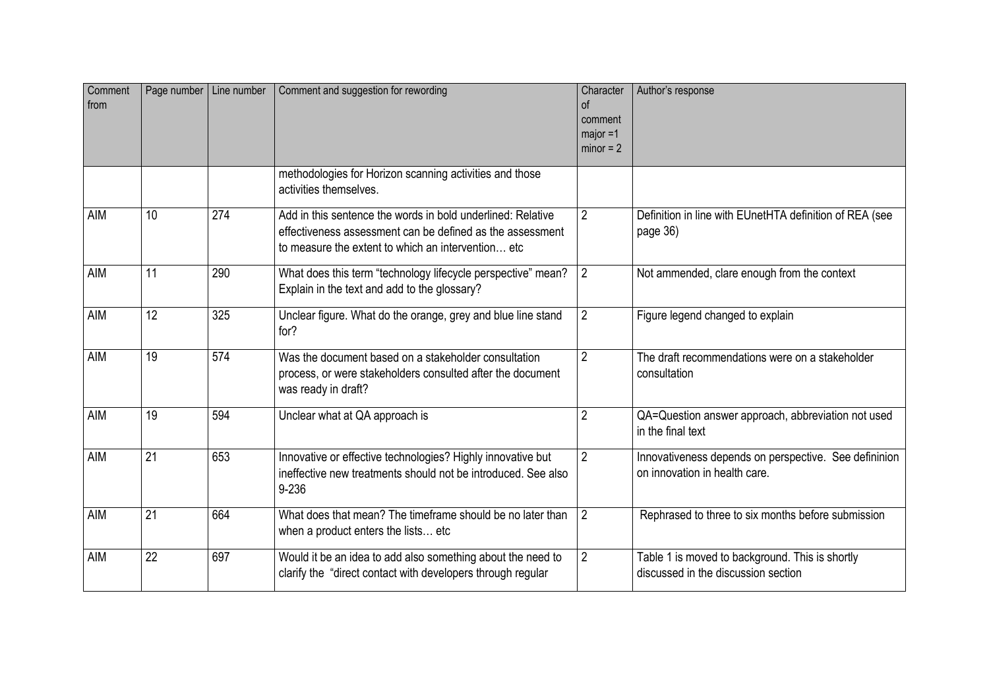| Comment<br>from |                 | Page number   Line number | Comment and suggestion for rewording                                                                                                                                           | Character<br>of<br>comment<br>major =1<br>$minor = 2$ | Author's response                                                                      |
|-----------------|-----------------|---------------------------|--------------------------------------------------------------------------------------------------------------------------------------------------------------------------------|-------------------------------------------------------|----------------------------------------------------------------------------------------|
|                 |                 |                           | methodologies for Horizon scanning activities and those<br>activities themselves.                                                                                              |                                                       |                                                                                        |
| <b>AIM</b>      | 10 <sup>1</sup> | $\overline{274}$          | Add in this sentence the words in bold underlined: Relative<br>effectiveness assessment can be defined as the assessment<br>to measure the extent to which an intervention etc | $\overline{2}$                                        | Definition in line with EUnetHTA definition of REA (see<br>page 36)                    |
| AIM             | 11              | 290                       | What does this term "technology lifecycle perspective" mean?<br>Explain in the text and add to the glossary?                                                                   | $\overline{2}$                                        | Not ammended, clare enough from the context                                            |
| <b>AIM</b>      | $\overline{12}$ | 325                       | Unclear figure. What do the orange, grey and blue line stand<br>for?                                                                                                           | $\overline{2}$                                        | Figure legend changed to explain                                                       |
| <b>AIM</b>      | 19              | 574                       | Was the document based on a stakeholder consultation<br>process, or were stakeholders consulted after the document<br>was ready in draft?                                      | $\overline{2}$                                        | The draft recommendations were on a stakeholder<br>consultation                        |
| AIM             | 19              | 594                       | Unclear what at QA approach is                                                                                                                                                 | $\overline{2}$                                        | QA=Question answer approach, abbreviation not used<br>in the final text                |
| <b>AIM</b>      | 21              | 653                       | Innovative or effective technologies? Highly innovative but<br>ineffective new treatments should not be introduced. See also<br>$9 - 236$                                      | $\overline{2}$                                        | Innovativeness depends on perspective. See defininion<br>on innovation in health care. |
| <b>AIM</b>      | 21              | 664                       | What does that mean? The timeframe should be no later than<br>when a product enters the lists etc.                                                                             | $\overline{2}$                                        | Rephrased to three to six months before submission                                     |
| <b>AIM</b>      | 22              | 697                       | Would it be an idea to add also something about the need to<br>clarify the "direct contact with developers through regular                                                     | $\overline{2}$                                        | Table 1 is moved to background. This is shortly<br>discussed in the discussion section |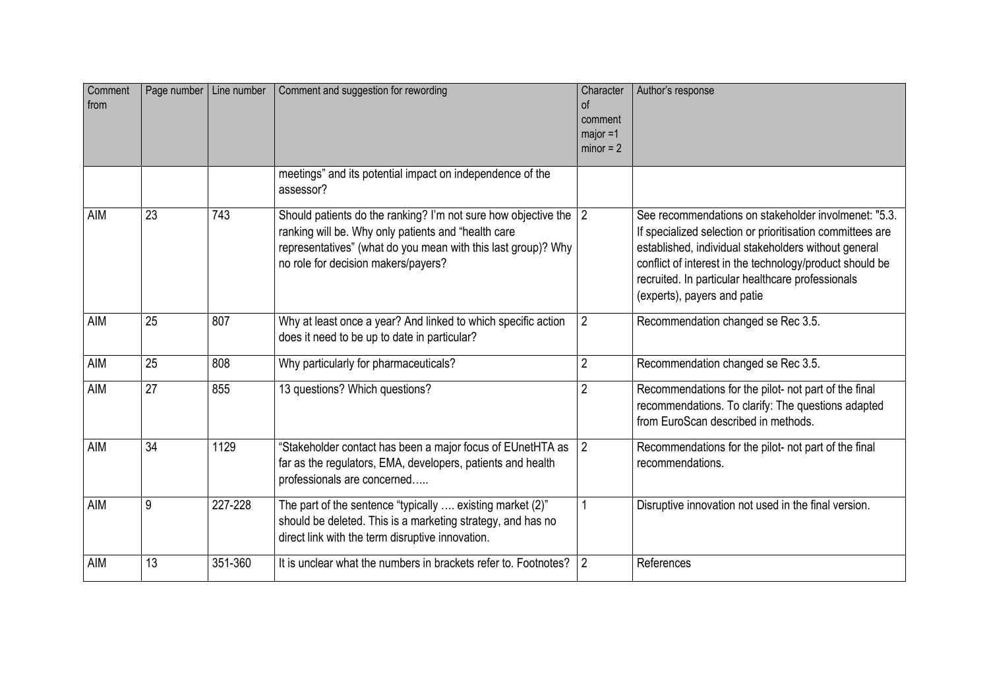| Comment<br>from |    | Page number   Line number | Comment and suggestion for rewording                                                                                                                                                                                            | Character<br><sub>of</sub><br>comment<br>$major = 1$<br>$minor = 2$ | Author's response                                                                                                                                                                                                                                                                                                         |
|-----------------|----|---------------------------|---------------------------------------------------------------------------------------------------------------------------------------------------------------------------------------------------------------------------------|---------------------------------------------------------------------|---------------------------------------------------------------------------------------------------------------------------------------------------------------------------------------------------------------------------------------------------------------------------------------------------------------------------|
|                 |    |                           | meetings" and its potential impact on independence of the<br>assessor?                                                                                                                                                          |                                                                     |                                                                                                                                                                                                                                                                                                                           |
| AIM             | 23 | 743                       | Should patients do the ranking? I'm not sure how objective the 2<br>ranking will be. Why only patients and "health care<br>representatives" (what do you mean with this last group)? Why<br>no role for decision makers/payers? |                                                                     | See recommendations on stakeholder involmenet: "5.3.<br>If specialized selection or prioritisation committees are<br>established, individual stakeholders without general<br>conflict of interest in the technology/product should be<br>recruited. In particular healthcare professionals<br>(experts), payers and patie |
| AIM             | 25 | 807                       | Why at least once a year? And linked to which specific action<br>does it need to be up to date in particular?                                                                                                                   | $\overline{2}$                                                      | Recommendation changed se Rec 3.5.                                                                                                                                                                                                                                                                                        |
| <b>AIM</b>      | 25 | 808                       | Why particularly for pharmaceuticals?                                                                                                                                                                                           | $\overline{2}$                                                      | Recommendation changed se Rec 3.5.                                                                                                                                                                                                                                                                                        |
| AIM             | 27 | 855                       | 13 questions? Which questions?                                                                                                                                                                                                  | $\overline{2}$                                                      | Recommendations for the pilot- not part of the final<br>recommendations. To clarify: The questions adapted<br>from EuroScan described in methods.                                                                                                                                                                         |
| <b>AIM</b>      | 34 | 1129                      | "Stakeholder contact has been a major focus of EUnetHTA as<br>far as the regulators, EMA, developers, patients and health<br>professionals are concerned                                                                        | $\overline{2}$                                                      | Recommendations for the pilot- not part of the final<br>recommendations.                                                                                                                                                                                                                                                  |
| AIM             | 9  | 227-228                   | The part of the sentence "typically  existing market (2)"<br>should be deleted. This is a marketing strategy, and has no<br>direct link with the term disruptive innovation.                                                    | 1                                                                   | Disruptive innovation not used in the final version.                                                                                                                                                                                                                                                                      |
| AIM             | 13 | 351-360                   | It is unclear what the numbers in brackets refer to. Footnotes?                                                                                                                                                                 | 2                                                                   | References                                                                                                                                                                                                                                                                                                                |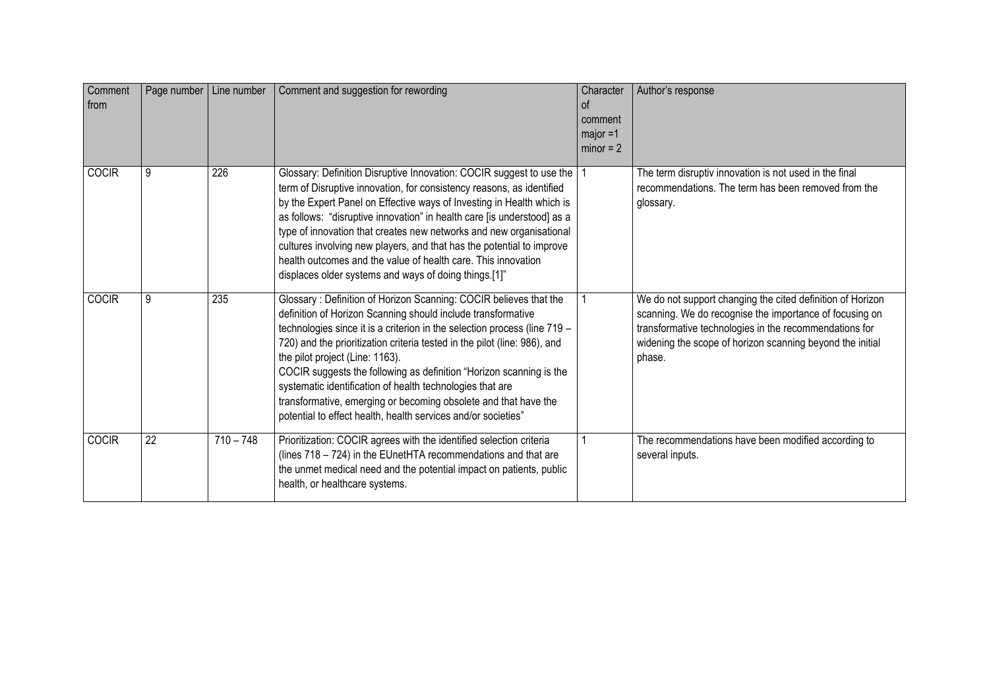| Comment<br>from | Page number   Line number |             | Comment and suggestion for rewording                                                                                                                                                                                                                                                                                                                                                                                                                                                                                                                                                                   | Character<br>0f<br>comment<br>$major = 1$<br>$minor = 2$ | Author's response                                                                                                                                                                                                                                      |
|-----------------|---------------------------|-------------|--------------------------------------------------------------------------------------------------------------------------------------------------------------------------------------------------------------------------------------------------------------------------------------------------------------------------------------------------------------------------------------------------------------------------------------------------------------------------------------------------------------------------------------------------------------------------------------------------------|----------------------------------------------------------|--------------------------------------------------------------------------------------------------------------------------------------------------------------------------------------------------------------------------------------------------------|
| <b>COCIR</b>    | 9                         | 226         | Glossary: Definition Disruptive Innovation: COCIR suggest to use the<br>term of Disruptive innovation, for consistency reasons, as identified<br>by the Expert Panel on Effective ways of Investing in Health which is<br>as follows: "disruptive innovation" in health care [is understood] as a<br>type of innovation that creates new networks and new organisational<br>cultures involving new players, and that has the potential to improve<br>health outcomes and the value of health care. This innovation<br>displaces older systems and ways of doing things.[1]"                            |                                                          | The term disruptiv innovation is not used in the final<br>recommendations. The term has been removed from the<br>glossary.                                                                                                                             |
| <b>COCIR</b>    | 9                         | 235         | Glossary: Definition of Horizon Scanning: COCIR believes that the<br>definition of Horizon Scanning should include transformative<br>technologies since it is a criterion in the selection process (line 719 -<br>720) and the prioritization criteria tested in the pilot (line: 986), and<br>the pilot project (Line: 1163).<br>COCIR suggests the following as definition "Horizon scanning is the<br>systematic identification of health technologies that are<br>transformative, emerging or becoming obsolete and that have the<br>potential to effect health, health services and/or societies" |                                                          | We do not support changing the cited definition of Horizon<br>scanning. We do recognise the importance of focusing on<br>transformative technologies in the recommendations for<br>widening the scope of horizon scanning beyond the initial<br>phase. |
| <b>COCIR</b>    | $\overline{22}$           | $710 - 748$ | Prioritization: COCIR agrees with the identified selection criteria<br>(lines 718 - 724) in the EUnetHTA recommendations and that are<br>the unmet medical need and the potential impact on patients, public<br>health, or healthcare systems.                                                                                                                                                                                                                                                                                                                                                         |                                                          | The recommendations have been modified according to<br>several inputs.                                                                                                                                                                                 |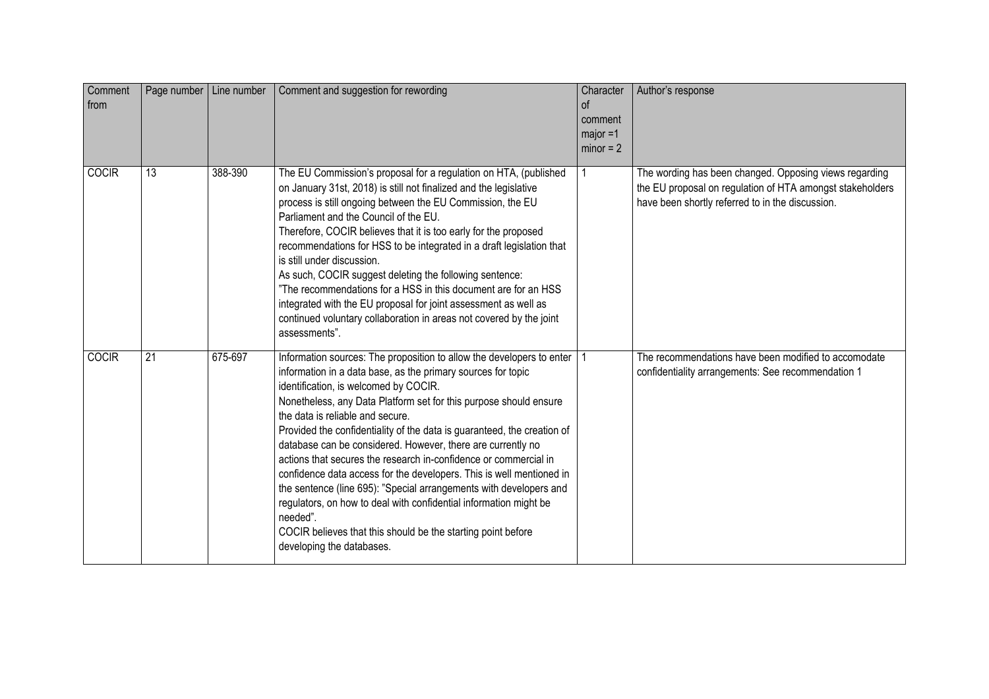| Comment<br>from |    | Page number   Line number | Comment and suggestion for rewording                                                                                                                                                                                                                                                                                                                                                                                                                                                                                                                                                                                                                                                                                                                                                                                              | Character<br><sub>of</sub><br>comment<br>$major = 1$<br>$minor = 2$ | Author's response                                                                                                                                                       |
|-----------------|----|---------------------------|-----------------------------------------------------------------------------------------------------------------------------------------------------------------------------------------------------------------------------------------------------------------------------------------------------------------------------------------------------------------------------------------------------------------------------------------------------------------------------------------------------------------------------------------------------------------------------------------------------------------------------------------------------------------------------------------------------------------------------------------------------------------------------------------------------------------------------------|---------------------------------------------------------------------|-------------------------------------------------------------------------------------------------------------------------------------------------------------------------|
| <b>COCIR</b>    | 13 | 388-390                   | The EU Commission's proposal for a regulation on HTA, (published<br>on January 31st, 2018) is still not finalized and the legislative<br>process is still ongoing between the EU Commission, the EU<br>Parliament and the Council of the EU.<br>Therefore, COCIR believes that it is too early for the proposed<br>recommendations for HSS to be integrated in a draft legislation that<br>is still under discussion.<br>As such, COCIR suggest deleting the following sentence:<br>"The recommendations for a HSS in this document are for an HSS<br>integrated with the EU proposal for joint assessment as well as<br>continued voluntary collaboration in areas not covered by the joint<br>assessments".                                                                                                                     |                                                                     | The wording has been changed. Opposing views regarding<br>the EU proposal on regulation of HTA amongst stakeholders<br>have been shortly referred to in the discussion. |
| <b>COCIR</b>    | 21 | 675-697                   | Information sources: The proposition to allow the developers to enter<br>information in a data base, as the primary sources for topic<br>identification, is welcomed by COCIR.<br>Nonetheless, any Data Platform set for this purpose should ensure<br>the data is reliable and secure.<br>Provided the confidentiality of the data is guaranteed, the creation of<br>database can be considered. However, there are currently no<br>actions that secures the research in-confidence or commercial in<br>confidence data access for the developers. This is well mentioned in<br>the sentence (line 695): "Special arrangements with developers and<br>regulators, on how to deal with confidential information might be<br>needed".<br>COCIR believes that this should be the starting point before<br>developing the databases. |                                                                     | The recommendations have been modified to accomodate<br>confidentiality arrangements: See recommendation 1                                                              |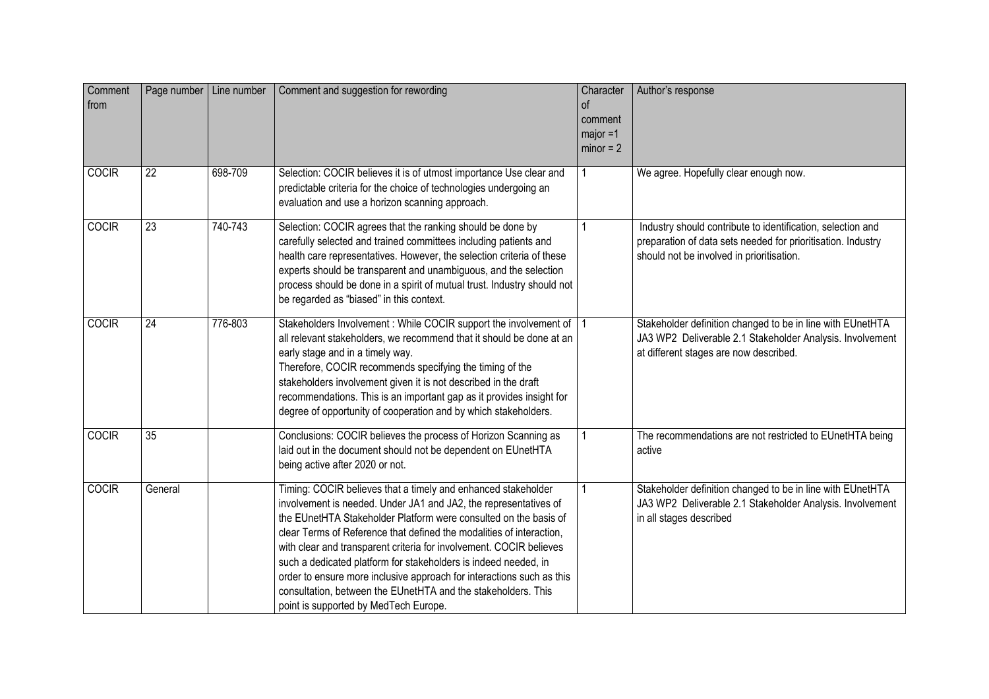| Comment<br>from | Page number   Line number |         | Comment and suggestion for rewording                                                                                                                                                                                                                                                                                                                                                                                                                                                                                                                                                                       | Character<br>$\circ$<br>comment<br>$major = 1$<br>$minor = 2$ | Author's response                                                                                                                                                        |
|-----------------|---------------------------|---------|------------------------------------------------------------------------------------------------------------------------------------------------------------------------------------------------------------------------------------------------------------------------------------------------------------------------------------------------------------------------------------------------------------------------------------------------------------------------------------------------------------------------------------------------------------------------------------------------------------|---------------------------------------------------------------|--------------------------------------------------------------------------------------------------------------------------------------------------------------------------|
| <b>COCIR</b>    | 22                        | 698-709 | Selection: COCIR believes it is of utmost importance Use clear and<br>predictable criteria for the choice of technologies undergoing an<br>evaluation and use a horizon scanning approach.                                                                                                                                                                                                                                                                                                                                                                                                                 | 1                                                             | We agree. Hopefully clear enough now.                                                                                                                                    |
| <b>COCIR</b>    | 23                        | 740-743 | Selection: COCIR agrees that the ranking should be done by<br>carefully selected and trained committees including patients and<br>health care representatives. However, the selection criteria of these<br>experts should be transparent and unambiguous, and the selection<br>process should be done in a spirit of mutual trust. Industry should not<br>be regarded as "biased" in this context.                                                                                                                                                                                                         | 1                                                             | Industry should contribute to identification, selection and<br>preparation of data sets needed for prioritisation. Industry<br>should not be involved in prioritisation. |
| <b>COCIR</b>    | $\overline{24}$           | 776-803 | Stakeholders Involvement : While COCIR support the involvement of  <br>all relevant stakeholders, we recommend that it should be done at an<br>early stage and in a timely way.<br>Therefore, COCIR recommends specifying the timing of the<br>stakeholders involvement given it is not described in the draft<br>recommendations. This is an important gap as it provides insight for<br>degree of opportunity of cooperation and by which stakeholders.                                                                                                                                                  |                                                               | Stakeholder definition changed to be in line with EUnetHTA<br>JA3 WP2 Deliverable 2.1 Stakeholder Analysis. Involvement<br>at different stages are now described.        |
| <b>COCIR</b>    | $\overline{35}$           |         | Conclusions: COCIR believes the process of Horizon Scanning as<br>laid out in the document should not be dependent on EUnetHTA<br>being active after 2020 or not.                                                                                                                                                                                                                                                                                                                                                                                                                                          | $\mathbf{1}$                                                  | The recommendations are not restricted to EUnetHTA being<br>active                                                                                                       |
| COCIR           | General                   |         | Timing: COCIR believes that a timely and enhanced stakeholder<br>involvement is needed. Under JA1 and JA2, the representatives of<br>the EUnetHTA Stakeholder Platform were consulted on the basis of<br>clear Terms of Reference that defined the modalities of interaction,<br>with clear and transparent criteria for involvement. COCIR believes<br>such a dedicated platform for stakeholders is indeed needed, in<br>order to ensure more inclusive approach for interactions such as this<br>consultation, between the EUnetHTA and the stakeholders. This<br>point is supported by MedTech Europe. |                                                               | Stakeholder definition changed to be in line with EUnetHTA<br>JA3 WP2 Deliverable 2.1 Stakeholder Analysis. Involvement<br>in all stages described                       |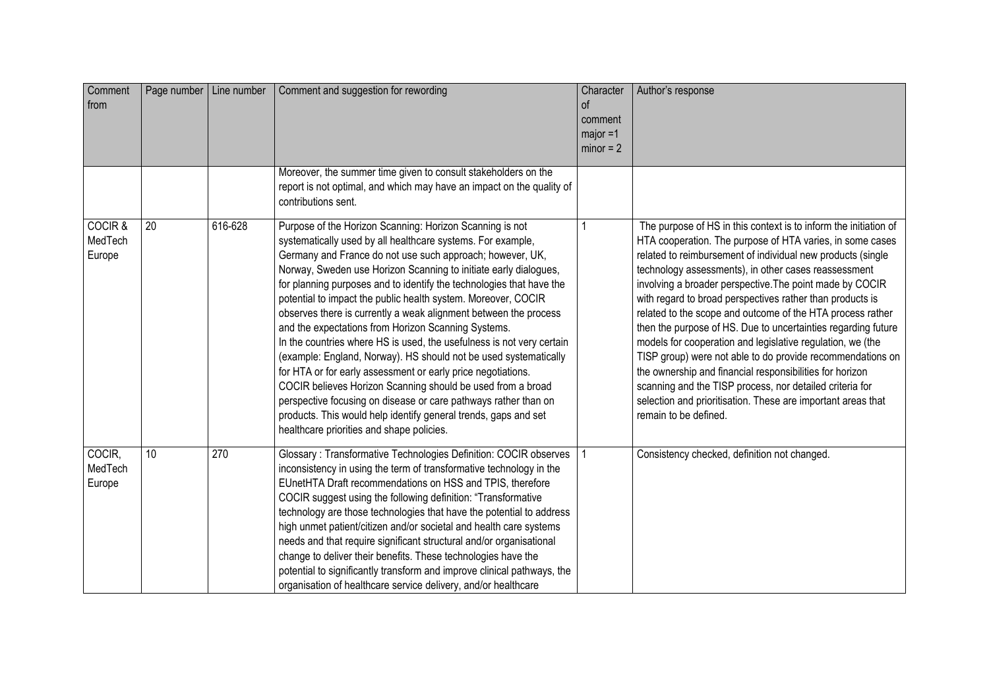| Comment<br>from              |    | Page number   Line number | Comment and suggestion for rewording                                                                                                                                                                                                                                                                                                                                                                                                                                                                                                                                                                                                                                                                                                                                                                                                                                                                                                                                                        | Character<br>$\alpha$<br>comment<br>$major = 1$<br>$minor = 2$ | Author's response                                                                                                                                                                                                                                                                                                                                                                                                                                                                                                                                                                                                                                                                                                                                                                                                                                         |
|------------------------------|----|---------------------------|---------------------------------------------------------------------------------------------------------------------------------------------------------------------------------------------------------------------------------------------------------------------------------------------------------------------------------------------------------------------------------------------------------------------------------------------------------------------------------------------------------------------------------------------------------------------------------------------------------------------------------------------------------------------------------------------------------------------------------------------------------------------------------------------------------------------------------------------------------------------------------------------------------------------------------------------------------------------------------------------|----------------------------------------------------------------|-----------------------------------------------------------------------------------------------------------------------------------------------------------------------------------------------------------------------------------------------------------------------------------------------------------------------------------------------------------------------------------------------------------------------------------------------------------------------------------------------------------------------------------------------------------------------------------------------------------------------------------------------------------------------------------------------------------------------------------------------------------------------------------------------------------------------------------------------------------|
|                              |    |                           | Moreover, the summer time given to consult stakeholders on the<br>report is not optimal, and which may have an impact on the quality of<br>contributions sent.                                                                                                                                                                                                                                                                                                                                                                                                                                                                                                                                                                                                                                                                                                                                                                                                                              |                                                                |                                                                                                                                                                                                                                                                                                                                                                                                                                                                                                                                                                                                                                                                                                                                                                                                                                                           |
| COCIR &<br>MedTech<br>Europe | 20 | 616-628                   | Purpose of the Horizon Scanning: Horizon Scanning is not<br>systematically used by all healthcare systems. For example,<br>Germany and France do not use such approach; however, UK,<br>Norway, Sweden use Horizon Scanning to initiate early dialogues,<br>for planning purposes and to identify the technologies that have the<br>potential to impact the public health system. Moreover, COCIR<br>observes there is currently a weak alignment between the process<br>and the expectations from Horizon Scanning Systems.<br>In the countries where HS is used, the usefulness is not very certain<br>(example: England, Norway). HS should not be used systematically<br>for HTA or for early assessment or early price negotiations.<br>COCIR believes Horizon Scanning should be used from a broad<br>perspective focusing on disease or care pathways rather than on<br>products. This would help identify general trends, gaps and set<br>healthcare priorities and shape policies. |                                                                | The purpose of HS in this context is to inform the initiation of<br>HTA cooperation. The purpose of HTA varies, in some cases<br>related to reimbursement of individual new products (single<br>technology assessments), in other cases reassessment<br>involving a broader perspective. The point made by COCIR<br>with regard to broad perspectives rather than products is<br>related to the scope and outcome of the HTA process rather<br>then the purpose of HS. Due to uncertainties regarding future<br>models for cooperation and legislative regulation, we (the<br>TISP group) were not able to do provide recommendations on<br>the ownership and financial responsibilities for horizon<br>scanning and the TISP process, nor detailed criteria for<br>selection and prioritisation. These are important areas that<br>remain to be defined. |
| COCIR,<br>MedTech<br>Europe  | 10 | 270                       | Glossary: Transformative Technologies Definition: COCIR observes<br>inconsistency in using the term of transformative technology in the<br>EUnetHTA Draft recommendations on HSS and TPIS, therefore<br>COCIR suggest using the following definition: "Transformative<br>technology are those technologies that have the potential to address<br>high unmet patient/citizen and/or societal and health care systems<br>needs and that require significant structural and/or organisational<br>change to deliver their benefits. These technologies have the<br>potential to significantly transform and improve clinical pathways, the<br>organisation of healthcare service delivery, and/or healthcare                                                                                                                                                                                                                                                                                    |                                                                | Consistency checked, definition not changed.                                                                                                                                                                                                                                                                                                                                                                                                                                                                                                                                                                                                                                                                                                                                                                                                              |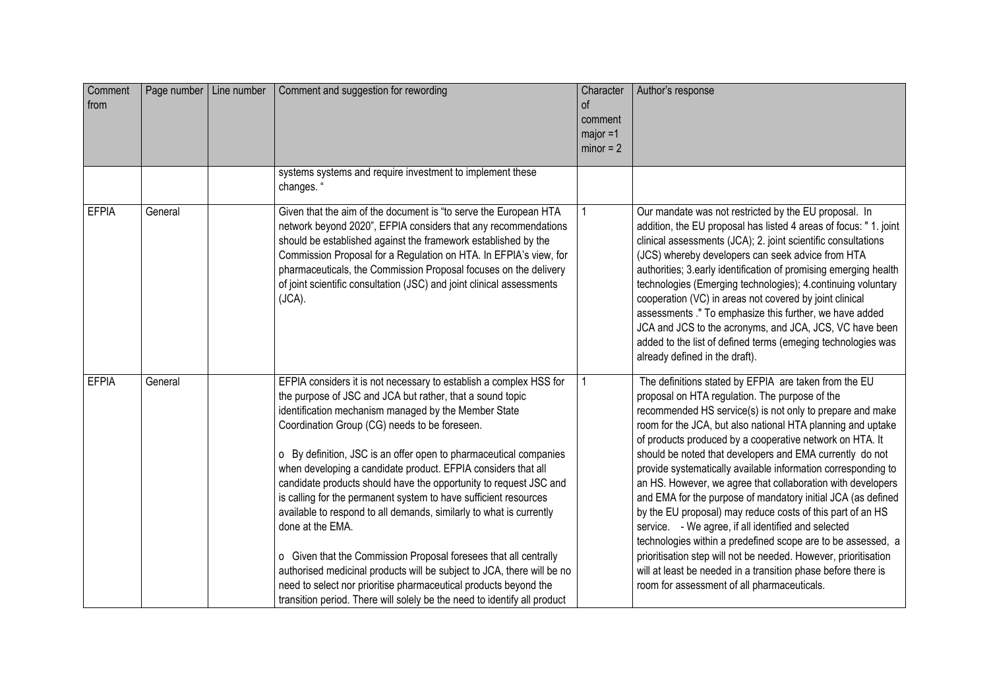| Comment<br>from | Page number   Line number | Comment and suggestion for rewording                                                                                                                                                                                                                                                                                                                                                                                                                                                                                                                                                                                                                                                                                                                                                                                                                                                                             | Character<br>οf<br>comment<br>$major = 1$<br>$minor = 2$ | Author's response                                                                                                                                                                                                                                                                                                                                                                                                                                                                                                                                                                                                                                                                                                                                                                                                                                                                                                                   |
|-----------------|---------------------------|------------------------------------------------------------------------------------------------------------------------------------------------------------------------------------------------------------------------------------------------------------------------------------------------------------------------------------------------------------------------------------------------------------------------------------------------------------------------------------------------------------------------------------------------------------------------------------------------------------------------------------------------------------------------------------------------------------------------------------------------------------------------------------------------------------------------------------------------------------------------------------------------------------------|----------------------------------------------------------|-------------------------------------------------------------------------------------------------------------------------------------------------------------------------------------------------------------------------------------------------------------------------------------------------------------------------------------------------------------------------------------------------------------------------------------------------------------------------------------------------------------------------------------------------------------------------------------------------------------------------------------------------------------------------------------------------------------------------------------------------------------------------------------------------------------------------------------------------------------------------------------------------------------------------------------|
|                 |                           | systems systems and require investment to implement these<br>changes. "                                                                                                                                                                                                                                                                                                                                                                                                                                                                                                                                                                                                                                                                                                                                                                                                                                          |                                                          |                                                                                                                                                                                                                                                                                                                                                                                                                                                                                                                                                                                                                                                                                                                                                                                                                                                                                                                                     |
| <b>EFPIA</b>    | General                   | Given that the aim of the document is "to serve the European HTA<br>network beyond 2020", EFPIA considers that any recommendations<br>should be established against the framework established by the<br>Commission Proposal for a Regulation on HTA. In EFPIA's view, for<br>pharmaceuticals, the Commission Proposal focuses on the delivery<br>of joint scientific consultation (JSC) and joint clinical assessments<br>$(JCA)$ .                                                                                                                                                                                                                                                                                                                                                                                                                                                                              |                                                          | Our mandate was not restricted by the EU proposal. In<br>addition, the EU proposal has listed 4 areas of focus: " 1. joint<br>clinical assessments (JCA); 2. joint scientific consultations<br>(JCS) whereby developers can seek advice from HTA<br>authorities; 3.early identification of promising emerging health<br>technologies (Emerging technologies); 4.continuing voluntary<br>cooperation (VC) in areas not covered by joint clinical<br>assessments ." To emphasize this further, we have added<br>JCA and JCS to the acronyms, and JCA, JCS, VC have been<br>added to the list of defined terms (emeging technologies was<br>already defined in the draft).                                                                                                                                                                                                                                                             |
| <b>EFPIA</b>    | General                   | EFPIA considers it is not necessary to establish a complex HSS for<br>the purpose of JSC and JCA but rather, that a sound topic<br>identification mechanism managed by the Member State<br>Coordination Group (CG) needs to be foreseen.<br>o By definition, JSC is an offer open to pharmaceutical companies<br>when developing a candidate product. EFPIA considers that all<br>candidate products should have the opportunity to request JSC and<br>is calling for the permanent system to have sufficient resources<br>available to respond to all demands, similarly to what is currently<br>done at the EMA.<br>o Given that the Commission Proposal foresees that all centrally<br>authorised medicinal products will be subject to JCA, there will be no<br>need to select nor prioritise pharmaceutical products beyond the<br>transition period. There will solely be the need to identify all product |                                                          | The definitions stated by EFPIA are taken from the EU<br>proposal on HTA regulation. The purpose of the<br>recommended HS service(s) is not only to prepare and make<br>room for the JCA, but also national HTA planning and uptake<br>of products produced by a cooperative network on HTA. It<br>should be noted that developers and EMA currently do not<br>provide systematically available information corresponding to<br>an HS. However, we agree that collaboration with developers<br>and EMA for the purpose of mandatory initial JCA (as defined<br>by the EU proposal) may reduce costs of this part of an HS<br>service. - We agree, if all identified and selected<br>technologies within a predefined scope are to be assessed, a<br>prioritisation step will not be needed. However, prioritisation<br>will at least be needed in a transition phase before there is<br>room for assessment of all pharmaceuticals. |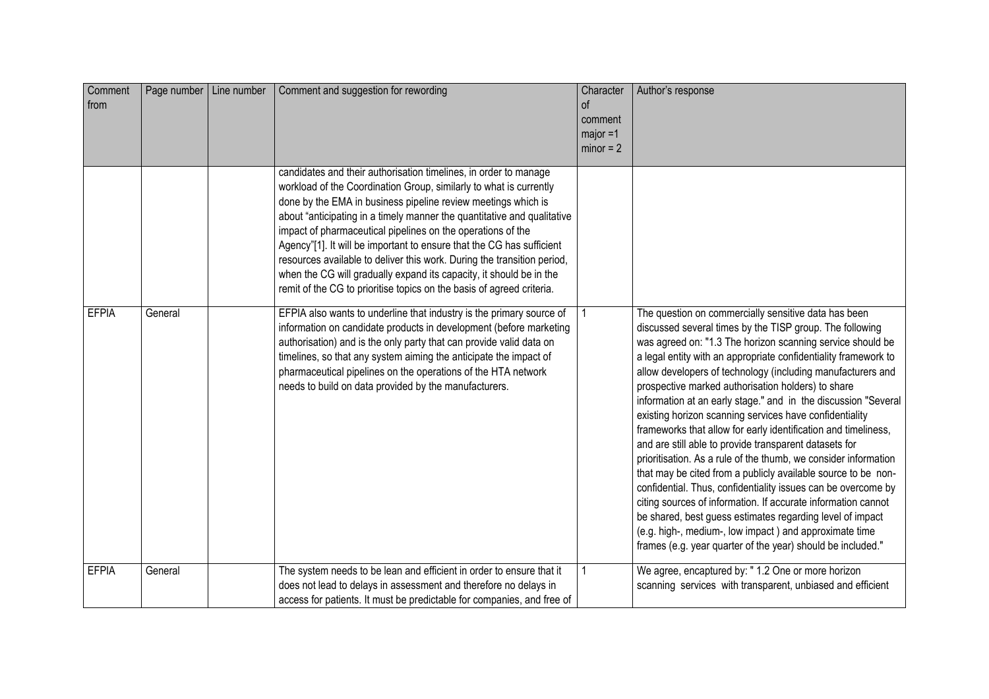| Comment<br>from | Page number   Line number | Comment and suggestion for rewording                                                                                                                                                                                                                                                                                                                                                                                                                                                                                                                                                                                                                  | Character<br>of<br>comment<br>$major = 1$<br>$minor = 2$ | Author's response                                                                                                                                                                                                                                                                                                                                                                                                                                                                                                                                                                                                                                                                                                                                                                                                                                                                                                                                                                                                                                                                           |
|-----------------|---------------------------|-------------------------------------------------------------------------------------------------------------------------------------------------------------------------------------------------------------------------------------------------------------------------------------------------------------------------------------------------------------------------------------------------------------------------------------------------------------------------------------------------------------------------------------------------------------------------------------------------------------------------------------------------------|----------------------------------------------------------|---------------------------------------------------------------------------------------------------------------------------------------------------------------------------------------------------------------------------------------------------------------------------------------------------------------------------------------------------------------------------------------------------------------------------------------------------------------------------------------------------------------------------------------------------------------------------------------------------------------------------------------------------------------------------------------------------------------------------------------------------------------------------------------------------------------------------------------------------------------------------------------------------------------------------------------------------------------------------------------------------------------------------------------------------------------------------------------------|
|                 |                           | candidates and their authorisation timelines, in order to manage<br>workload of the Coordination Group, similarly to what is currently<br>done by the EMA in business pipeline review meetings which is<br>about "anticipating in a timely manner the quantitative and qualitative<br>impact of pharmaceutical pipelines on the operations of the<br>Agency"[1]. It will be important to ensure that the CG has sufficient<br>resources available to deliver this work. During the transition period,<br>when the CG will gradually expand its capacity, it should be in the<br>remit of the CG to prioritise topics on the basis of agreed criteria. |                                                          |                                                                                                                                                                                                                                                                                                                                                                                                                                                                                                                                                                                                                                                                                                                                                                                                                                                                                                                                                                                                                                                                                             |
| <b>EFPIA</b>    | General                   | EFPIA also wants to underline that industry is the primary source of<br>information on candidate products in development (before marketing<br>authorisation) and is the only party that can provide valid data on<br>timelines, so that any system aiming the anticipate the impact of<br>pharmaceutical pipelines on the operations of the HTA network<br>needs to build on data provided by the manufacturers.                                                                                                                                                                                                                                      |                                                          | The question on commercially sensitive data has been<br>discussed several times by the TISP group. The following<br>was agreed on: "1.3 The horizon scanning service should be<br>a legal entity with an appropriate confidentiality framework to<br>allow developers of technology (including manufacturers and<br>prospective marked authorisation holders) to share<br>information at an early stage." and in the discussion "Several<br>existing horizon scanning services have confidentiality<br>frameworks that allow for early identification and timeliness,<br>and are still able to provide transparent datasets for<br>prioritisation. As a rule of the thumb, we consider information<br>that may be cited from a publicly available source to be non-<br>confidential. Thus, confidentiality issues can be overcome by<br>citing sources of information. If accurate information cannot<br>be shared, best guess estimates regarding level of impact<br>(e.g. high-, medium-, low impact) and approximate time<br>frames (e.g. year quarter of the year) should be included." |
| <b>EFPIA</b>    | General                   | The system needs to be lean and efficient in order to ensure that it<br>does not lead to delays in assessment and therefore no delays in<br>access for patients. It must be predictable for companies, and free of                                                                                                                                                                                                                                                                                                                                                                                                                                    |                                                          | We agree, encaptured by: " 1.2 One or more horizon<br>scanning services with transparent, unbiased and efficient                                                                                                                                                                                                                                                                                                                                                                                                                                                                                                                                                                                                                                                                                                                                                                                                                                                                                                                                                                            |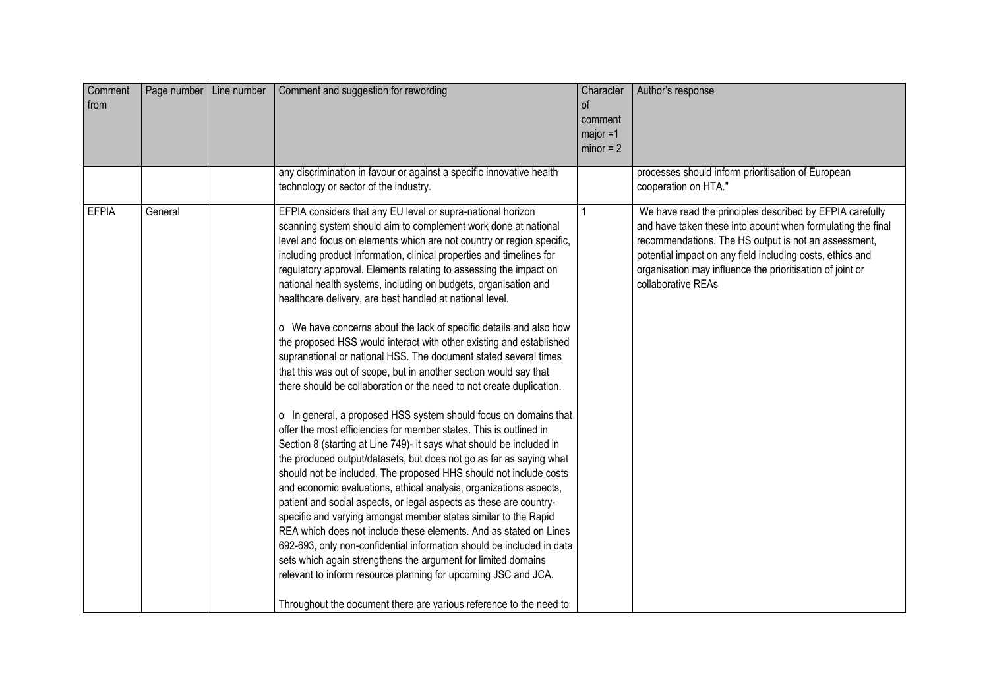| Comment<br>from | Page number   Line number | Comment and suggestion for rewording                                                                                                                                                                                                                                                                                                                                                                                                                                                                                                                                                                                                                                                                                                                                                                                                                                                                                                                                                                                                                                                                                                                                                                                                                                                                                                                                                                                                                                                                                                                                                                                                                                                                                                                                                 | Character<br>of<br>comment<br>$major = 1$<br>$minor = 2$ | Author's response                                                                                                                                                                                                                                                                                                               |
|-----------------|---------------------------|--------------------------------------------------------------------------------------------------------------------------------------------------------------------------------------------------------------------------------------------------------------------------------------------------------------------------------------------------------------------------------------------------------------------------------------------------------------------------------------------------------------------------------------------------------------------------------------------------------------------------------------------------------------------------------------------------------------------------------------------------------------------------------------------------------------------------------------------------------------------------------------------------------------------------------------------------------------------------------------------------------------------------------------------------------------------------------------------------------------------------------------------------------------------------------------------------------------------------------------------------------------------------------------------------------------------------------------------------------------------------------------------------------------------------------------------------------------------------------------------------------------------------------------------------------------------------------------------------------------------------------------------------------------------------------------------------------------------------------------------------------------------------------------|----------------------------------------------------------|---------------------------------------------------------------------------------------------------------------------------------------------------------------------------------------------------------------------------------------------------------------------------------------------------------------------------------|
|                 |                           | any discrimination in favour or against a specific innovative health<br>technology or sector of the industry.                                                                                                                                                                                                                                                                                                                                                                                                                                                                                                                                                                                                                                                                                                                                                                                                                                                                                                                                                                                                                                                                                                                                                                                                                                                                                                                                                                                                                                                                                                                                                                                                                                                                        |                                                          | processes should inform prioritisation of European<br>cooperation on HTA."                                                                                                                                                                                                                                                      |
| <b>EFPIA</b>    | General                   | EFPIA considers that any EU level or supra-national horizon<br>scanning system should aim to complement work done at national<br>level and focus on elements which are not country or region specific,<br>including product information, clinical properties and timelines for<br>regulatory approval. Elements relating to assessing the impact on<br>national health systems, including on budgets, organisation and<br>healthcare delivery, are best handled at national level.<br>o We have concerns about the lack of specific details and also how<br>the proposed HSS would interact with other existing and established<br>supranational or national HSS. The document stated several times<br>that this was out of scope, but in another section would say that<br>there should be collaboration or the need to not create duplication.<br>o In general, a proposed HSS system should focus on domains that<br>offer the most efficiencies for member states. This is outlined in<br>Section 8 (starting at Line 749)- it says what should be included in<br>the produced output/datasets, but does not go as far as saying what<br>should not be included. The proposed HHS should not include costs<br>and economic evaluations, ethical analysis, organizations aspects,<br>patient and social aspects, or legal aspects as these are country-<br>specific and varying amongst member states similar to the Rapid<br>REA which does not include these elements. And as stated on Lines<br>692-693, only non-confidential information should be included in data<br>sets which again strengthens the argument for limited domains<br>relevant to inform resource planning for upcoming JSC and JCA.<br>Throughout the document there are various reference to the need to |                                                          | We have read the principles described by EFPIA carefully<br>and have taken these into acount when formulating the final<br>recommendations. The HS output is not an assessment,<br>potential impact on any field including costs, ethics and<br>organisation may influence the prioritisation of joint or<br>collaborative REAs |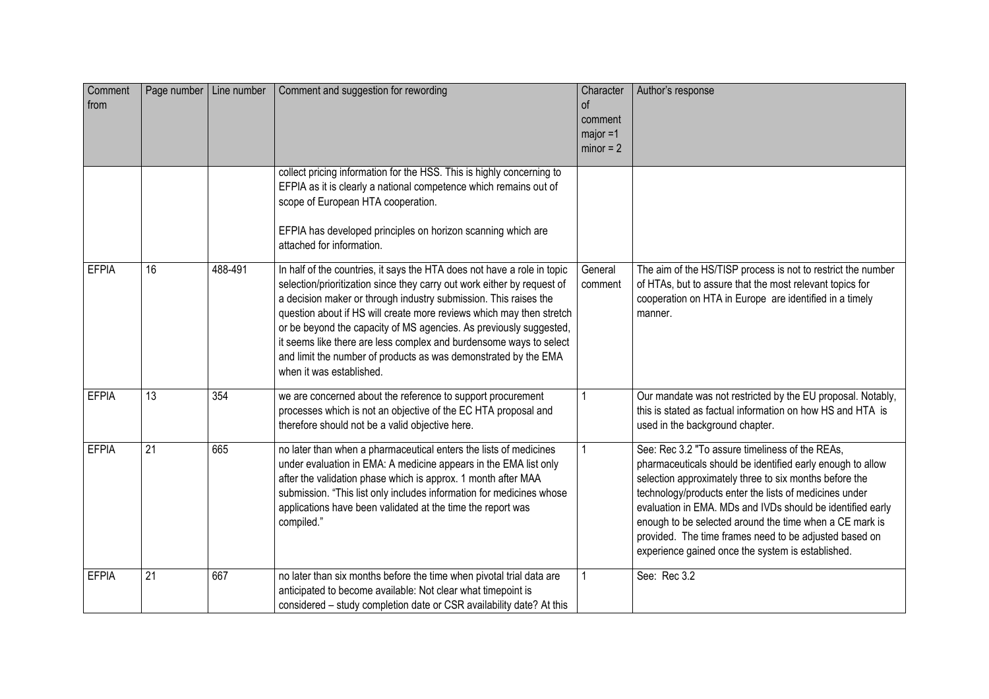| Comment<br>from | Page number     | Line number | Comment and suggestion for rewording                                                                                                                                                                                                                                                                                                                                                                                                                                                                                                      | Character<br>$\circ$ f<br>comment<br>$maior = 1$<br>$minor = 2$ | Author's response                                                                                                                                                                                                                                                                                                                                                                                                                                                         |
|-----------------|-----------------|-------------|-------------------------------------------------------------------------------------------------------------------------------------------------------------------------------------------------------------------------------------------------------------------------------------------------------------------------------------------------------------------------------------------------------------------------------------------------------------------------------------------------------------------------------------------|-----------------------------------------------------------------|---------------------------------------------------------------------------------------------------------------------------------------------------------------------------------------------------------------------------------------------------------------------------------------------------------------------------------------------------------------------------------------------------------------------------------------------------------------------------|
|                 |                 |             | collect pricing information for the HSS. This is highly concerning to<br>EFPIA as it is clearly a national competence which remains out of<br>scope of European HTA cooperation.<br>EFPIA has developed principles on horizon scanning which are<br>attached for information.                                                                                                                                                                                                                                                             |                                                                 |                                                                                                                                                                                                                                                                                                                                                                                                                                                                           |
| <b>EFPIA</b>    | 16              | 488-491     | In half of the countries, it says the HTA does not have a role in topic<br>selection/prioritization since they carry out work either by request of<br>a decision maker or through industry submission. This raises the<br>question about if HS will create more reviews which may then stretch<br>or be beyond the capacity of MS agencies. As previously suggested,<br>it seems like there are less complex and burdensome ways to select<br>and limit the number of products as was demonstrated by the EMA<br>when it was established. | General<br>comment                                              | The aim of the HS/TISP process is not to restrict the number<br>of HTAs, but to assure that the most relevant topics for<br>cooperation on HTA in Europe are identified in a timely<br>manner.                                                                                                                                                                                                                                                                            |
| <b>EFPIA</b>    | $\overline{13}$ | 354         | we are concerned about the reference to support procurement<br>processes which is not an objective of the EC HTA proposal and<br>therefore should not be a valid objective here.                                                                                                                                                                                                                                                                                                                                                          |                                                                 | Our mandate was not restricted by the EU proposal. Notably,<br>this is stated as factual information on how HS and HTA is<br>used in the background chapter.                                                                                                                                                                                                                                                                                                              |
| <b>EFPIA</b>    | $\overline{21}$ | 665         | no later than when a pharmaceutical enters the lists of medicines<br>under evaluation in EMA: A medicine appears in the EMA list only<br>after the validation phase which is approx. 1 month after MAA<br>submission. "This list only includes information for medicines whose<br>applications have been validated at the time the report was<br>compiled."                                                                                                                                                                               |                                                                 | See: Rec 3.2 "To assure timeliness of the REAs,<br>pharmaceuticals should be identified early enough to allow<br>selection approximately three to six months before the<br>technology/products enter the lists of medicines under<br>evaluation in EMA. MDs and IVDs should be identified early<br>enough to be selected around the time when a CE mark is<br>provided. The time frames need to be adjusted based on<br>experience gained once the system is established. |
| <b>EFPIA</b>    | 21              | 667         | no later than six months before the time when pivotal trial data are<br>anticipated to become available: Not clear what timepoint is<br>considered - study completion date or CSR availability date? At this                                                                                                                                                                                                                                                                                                                              |                                                                 | See: Rec 3.2                                                                                                                                                                                                                                                                                                                                                                                                                                                              |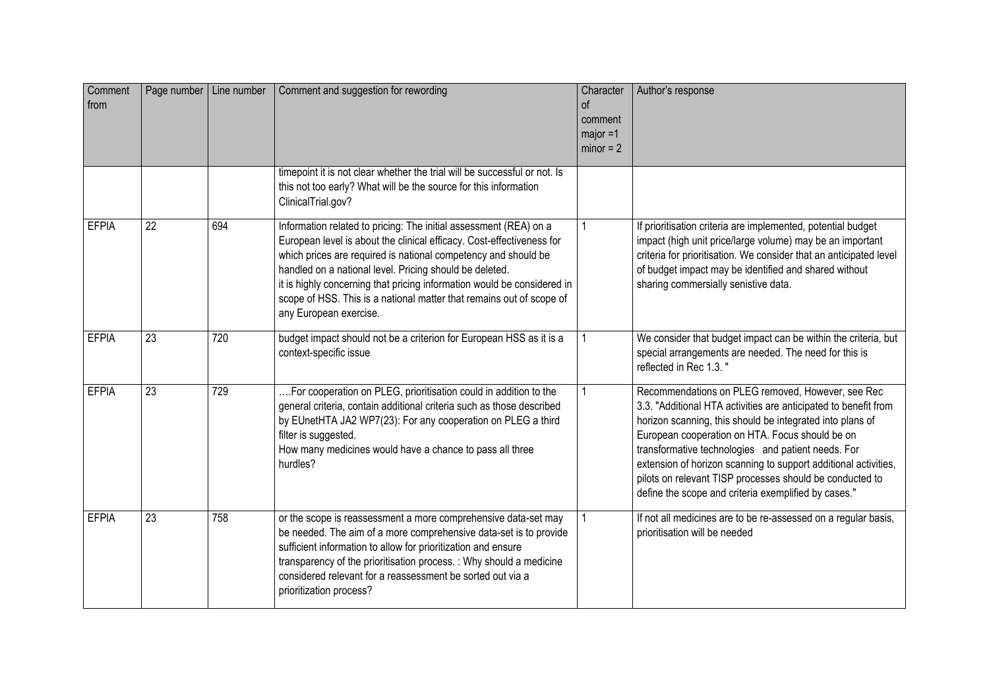| Comment<br>from | Page number   Line number |     | Comment and suggestion for rewording                                                                                                                                                                                                                                                                                                                                                                                                                 | Character<br>$\circ$<br>comment<br>$major = 1$<br>$minor = 2$ | Author's response                                                                                                                                                                                                                                                                                                                                                                                                                                                                 |
|-----------------|---------------------------|-----|------------------------------------------------------------------------------------------------------------------------------------------------------------------------------------------------------------------------------------------------------------------------------------------------------------------------------------------------------------------------------------------------------------------------------------------------------|---------------------------------------------------------------|-----------------------------------------------------------------------------------------------------------------------------------------------------------------------------------------------------------------------------------------------------------------------------------------------------------------------------------------------------------------------------------------------------------------------------------------------------------------------------------|
|                 |                           |     | timepoint it is not clear whether the trial will be successful or not. Is<br>this not too early? What will be the source for this information<br>ClinicalTrial.gov?                                                                                                                                                                                                                                                                                  |                                                               |                                                                                                                                                                                                                                                                                                                                                                                                                                                                                   |
| <b>EFPIA</b>    | 22                        | 694 | Information related to pricing: The initial assessment (REA) on a<br>European level is about the clinical efficacy. Cost-effectiveness for<br>which prices are required is national competency and should be<br>handled on a national level. Pricing should be deleted.<br>it is highly concerning that pricing information would be considered in<br>scope of HSS. This is a national matter that remains out of scope of<br>any European exercise. | 1                                                             | If prioritisation criteria are implemented, potential budget<br>impact (high unit price/large volume) may be an important<br>criteria for prioritisation. We consider that an anticipated level<br>of budget impact may be identified and shared without<br>sharing commersially senistive data.                                                                                                                                                                                  |
| <b>EFPIA</b>    | 23                        | 720 | budget impact should not be a criterion for European HSS as it is a<br>context-specific issue                                                                                                                                                                                                                                                                                                                                                        |                                                               | We consider that budget impact can be within the criteria, but<br>special arrangements are needed. The need for this is<br>reflected in Rec 1.3."                                                                                                                                                                                                                                                                                                                                 |
| <b>EFPIA</b>    | 23                        | 729 | For cooperation on PLEG, prioritisation could in addition to the<br>general criteria, contain additional criteria such as those described<br>by EUnetHTA JA2 WP7(23): For any cooperation on PLEG a third<br>filter is suggested.<br>How many medicines would have a chance to pass all three<br>hurdles?                                                                                                                                            |                                                               | Recommendations on PLEG removed, However, see Rec<br>3.3. "Additional HTA activities are anticipated to benefit from<br>horizon scanning, this should be integrated into plans of<br>European cooperation on HTA. Focus should be on<br>transformative technologies and patient needs. For<br>extension of horizon scanning to support additional activities,<br>pilots on relevant TISP processes should be conducted to<br>define the scope and criteria exemplified by cases." |
| <b>EFPIA</b>    | $\overline{23}$           | 758 | or the scope is reassessment a more comprehensive data-set may<br>be needed. The aim of a more comprehensive data-set is to provide<br>sufficient information to allow for prioritization and ensure<br>transparency of the prioritisation process. : Why should a medicine<br>considered relevant for a reassessment be sorted out via a<br>prioritization process?                                                                                 |                                                               | If not all medicines are to be re-assessed on a regular basis,<br>prioritisation will be needed                                                                                                                                                                                                                                                                                                                                                                                   |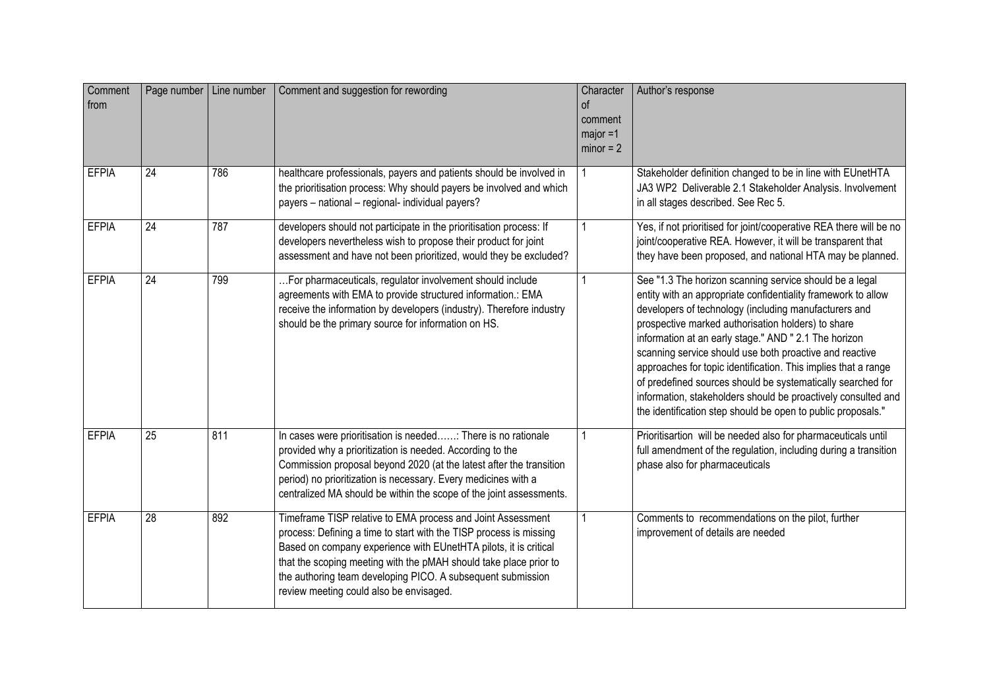| Comment<br>from | Page number | Line number | Comment and suggestion for rewording                                                                                                                                                                                                                                                                                                                                                 | Character<br>0f<br>comment<br>major =1<br>$minor = 2$ | Author's response                                                                                                                                                                                                                                                                                                                                                                                                                                                                                                                                                                                                             |
|-----------------|-------------|-------------|--------------------------------------------------------------------------------------------------------------------------------------------------------------------------------------------------------------------------------------------------------------------------------------------------------------------------------------------------------------------------------------|-------------------------------------------------------|-------------------------------------------------------------------------------------------------------------------------------------------------------------------------------------------------------------------------------------------------------------------------------------------------------------------------------------------------------------------------------------------------------------------------------------------------------------------------------------------------------------------------------------------------------------------------------------------------------------------------------|
| <b>EFPIA</b>    | 24          | 786         | healthcare professionals, payers and patients should be involved in<br>the prioritisation process: Why should payers be involved and which<br>payers - national - regional- individual payers?                                                                                                                                                                                       |                                                       | Stakeholder definition changed to be in line with EUnetHTA<br>JA3 WP2 Deliverable 2.1 Stakeholder Analysis. Involvement<br>in all stages described. See Rec 5.                                                                                                                                                                                                                                                                                                                                                                                                                                                                |
| <b>EFPIA</b>    | 24          | 787         | developers should not participate in the prioritisation process: If<br>developers nevertheless wish to propose their product for joint<br>assessment and have not been prioritized, would they be excluded?                                                                                                                                                                          |                                                       | Yes, if not prioritised for joint/cooperative REA there will be no<br>joint/cooperative REA. However, it will be transparent that<br>they have been proposed, and national HTA may be planned.                                                                                                                                                                                                                                                                                                                                                                                                                                |
| <b>EFPIA</b>    | 24          | 799         | For pharmaceuticals, regulator involvement should include<br>agreements with EMA to provide structured information.: EMA<br>receive the information by developers (industry). Therefore industry<br>should be the primary source for information on HS.                                                                                                                              |                                                       | See "1.3 The horizon scanning service should be a legal<br>entity with an appropriate confidentiality framework to allow<br>developers of technology (including manufacturers and<br>prospective marked authorisation holders) to share<br>information at an early stage." AND " 2.1 The horizon<br>scanning service should use both proactive and reactive<br>approaches for topic identification. This implies that a range<br>of predefined sources should be systematically searched for<br>information, stakeholders should be proactively consulted and<br>the identification step should be open to public proposals." |
| <b>EFPIA</b>    | 25          | 811         | In cases were prioritisation is needed: There is no rationale<br>provided why a prioritization is needed. According to the<br>Commission proposal beyond 2020 (at the latest after the transition<br>period) no prioritization is necessary. Every medicines with a<br>centralized MA should be within the scope of the joint assessments.                                           |                                                       | Prioritisartion will be needed also for pharmaceuticals until<br>full amendment of the regulation, including during a transition<br>phase also for pharmaceuticals                                                                                                                                                                                                                                                                                                                                                                                                                                                            |
| <b>EFPIA</b>    | 28          | 892         | Timeframe TISP relative to EMA process and Joint Assessment<br>process: Defining a time to start with the TISP process is missing<br>Based on company experience with EUnetHTA pilots, it is critical<br>that the scoping meeting with the pMAH should take place prior to<br>the authoring team developing PICO. A subsequent submission<br>review meeting could also be envisaged. |                                                       | Comments to recommendations on the pilot, further<br>improvement of details are needed                                                                                                                                                                                                                                                                                                                                                                                                                                                                                                                                        |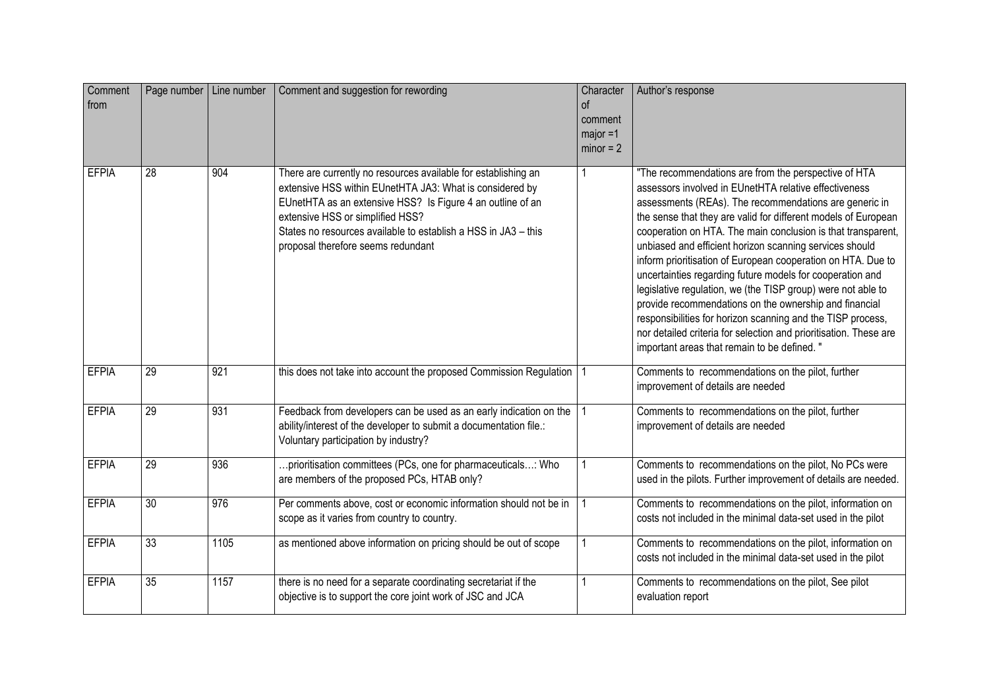| Comment<br>from | Page number   Line number |                  | Comment and suggestion for rewording                                                                                                                                                                                                                                                                                                 | Character<br>οf<br>comment<br>$major = 1$<br>$minor = 2$ | Author's response                                                                                                                                                                                                                                                                                                                                                                                                                                                                                                                                                                                                                                                                                                                                                                                              |
|-----------------|---------------------------|------------------|--------------------------------------------------------------------------------------------------------------------------------------------------------------------------------------------------------------------------------------------------------------------------------------------------------------------------------------|----------------------------------------------------------|----------------------------------------------------------------------------------------------------------------------------------------------------------------------------------------------------------------------------------------------------------------------------------------------------------------------------------------------------------------------------------------------------------------------------------------------------------------------------------------------------------------------------------------------------------------------------------------------------------------------------------------------------------------------------------------------------------------------------------------------------------------------------------------------------------------|
| <b>EFPIA</b>    | 28                        | 904              | There are currently no resources available for establishing an<br>extensive HSS within EUnetHTA JA3: What is considered by<br>EUnetHTA as an extensive HSS? Is Figure 4 an outline of an<br>extensive HSS or simplified HSS?<br>States no resources available to establish a HSS in JA3 - this<br>proposal therefore seems redundant | 1                                                        | "The recommendations are from the perspective of HTA<br>assessors involved in EUnetHTA relative effectiveness<br>assessments (REAs). The recommendations are generic in<br>the sense that they are valid for different models of European<br>cooperation on HTA. The main conclusion is that transparent,<br>unbiased and efficient horizon scanning services should<br>inform prioritisation of European cooperation on HTA. Due to<br>uncertainties regarding future models for cooperation and<br>legislative regulation, we (the TISP group) were not able to<br>provide recommendations on the ownership and financial<br>responsibilities for horizon scanning and the TISP process,<br>nor detailed criteria for selection and prioritisation. These are<br>important areas that remain to be defined." |
| <b>EFPIA</b>    | $\overline{29}$           | 921              | this does not take into account the proposed Commission Regulation                                                                                                                                                                                                                                                                   |                                                          | Comments to recommendations on the pilot, further<br>improvement of details are needed                                                                                                                                                                                                                                                                                                                                                                                                                                                                                                                                                                                                                                                                                                                         |
| <b>EFPIA</b>    | 29                        | 931              | Feedback from developers can be used as an early indication on the<br>ability/interest of the developer to submit a documentation file.:<br>Voluntary participation by industry?                                                                                                                                                     |                                                          | Comments to recommendations on the pilot, further<br>improvement of details are needed                                                                                                                                                                                                                                                                                                                                                                                                                                                                                                                                                                                                                                                                                                                         |
| <b>EFPIA</b>    | $\overline{29}$           | 936              | prioritisation committees (PCs, one for pharmaceuticals: Who<br>are members of the proposed PCs, HTAB only?                                                                                                                                                                                                                          | 1                                                        | Comments to recommendations on the pilot, No PCs were<br>used in the pilots. Further improvement of details are needed.                                                                                                                                                                                                                                                                                                                                                                                                                                                                                                                                                                                                                                                                                        |
| <b>EFPIA</b>    | $\overline{30}$           | $\overline{976}$ | Per comments above, cost or economic information should not be in<br>scope as it varies from country to country.                                                                                                                                                                                                                     |                                                          | Comments to recommendations on the pilot, information on<br>costs not included in the minimal data-set used in the pilot                                                                                                                                                                                                                                                                                                                                                                                                                                                                                                                                                                                                                                                                                       |
| <b>EFPIA</b>    | 33                        | 1105             | as mentioned above information on pricing should be out of scope                                                                                                                                                                                                                                                                     |                                                          | Comments to recommendations on the pilot, information on<br>costs not included in the minimal data-set used in the pilot                                                                                                                                                                                                                                                                                                                                                                                                                                                                                                                                                                                                                                                                                       |
| <b>EFPIA</b>    | $\overline{35}$           | 1157             | there is no need for a separate coordinating secretariat if the<br>objective is to support the core joint work of JSC and JCA                                                                                                                                                                                                        | 1                                                        | Comments to recommendations on the pilot, See pilot<br>evaluation report                                                                                                                                                                                                                                                                                                                                                                                                                                                                                                                                                                                                                                                                                                                                       |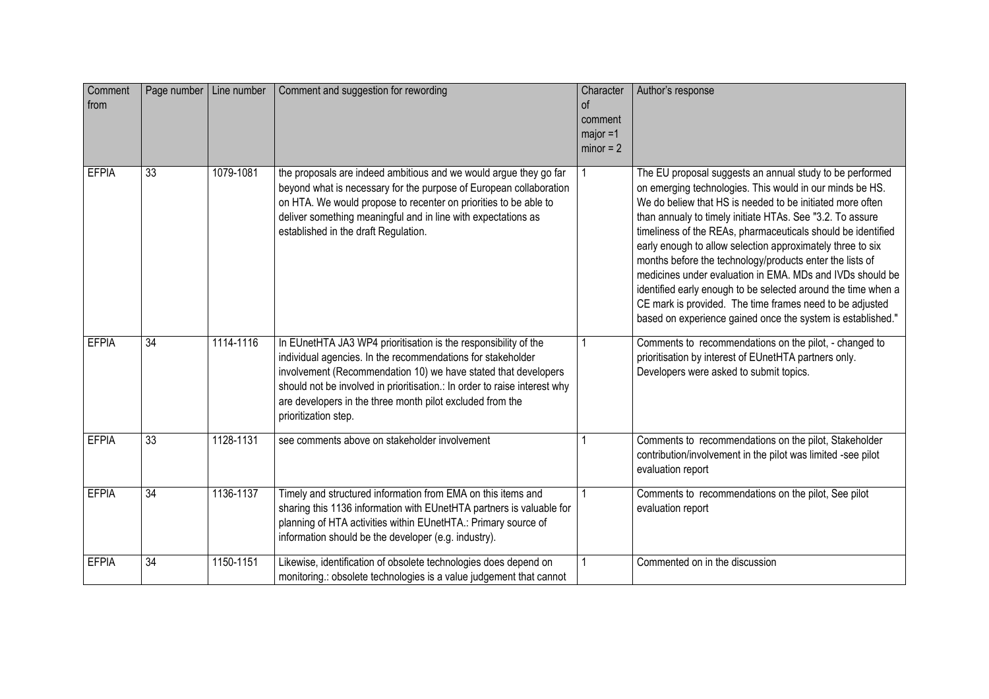| Comment<br>from | Page number     | Line number | Comment and suggestion for rewording                                                                                                                                                                                                                                                                                                                               | Character<br>$\sigma$ f<br>comment<br>$major = 1$<br>$minor = 2$ | Author's response                                                                                                                                                                                                                                                                                                                                                                                                                                                                                                                                                                                                                                                                                 |
|-----------------|-----------------|-------------|--------------------------------------------------------------------------------------------------------------------------------------------------------------------------------------------------------------------------------------------------------------------------------------------------------------------------------------------------------------------|------------------------------------------------------------------|---------------------------------------------------------------------------------------------------------------------------------------------------------------------------------------------------------------------------------------------------------------------------------------------------------------------------------------------------------------------------------------------------------------------------------------------------------------------------------------------------------------------------------------------------------------------------------------------------------------------------------------------------------------------------------------------------|
| <b>EFPIA</b>    | 33              | 1079-1081   | the proposals are indeed ambitious and we would argue they go far<br>beyond what is necessary for the purpose of European collaboration<br>on HTA. We would propose to recenter on priorities to be able to<br>deliver something meaningful and in line with expectations as<br>established in the draft Regulation.                                               |                                                                  | The EU proposal suggests an annual study to be performed<br>on emerging technologies. This would in our minds be HS.<br>We do beliew that HS is needed to be initiated more often<br>than annualy to timely initiate HTAs. See "3.2. To assure<br>timeliness of the REAs, pharmaceuticals should be identified<br>early enough to allow selection approximately three to six<br>months before the technology/products enter the lists of<br>medicines under evaluation in EMA. MDs and IVDs should be<br>identified early enough to be selected around the time when a<br>CE mark is provided. The time frames need to be adjusted<br>based on experience gained once the system is established." |
| <b>EFPIA</b>    | 34              | 1114-1116   | In EUnetHTA JA3 WP4 prioritisation is the responsibility of the<br>individual agencies. In the recommendations for stakeholder<br>involvement (Recommendation 10) we have stated that developers<br>should not be involved in prioritisation.: In order to raise interest why<br>are developers in the three month pilot excluded from the<br>prioritization step. |                                                                  | Comments to recommendations on the pilot, - changed to<br>prioritisation by interest of EUnetHTA partners only.<br>Developers were asked to submit topics.                                                                                                                                                                                                                                                                                                                                                                                                                                                                                                                                        |
| <b>EFPIA</b>    | 33              | 1128-1131   | see comments above on stakeholder involvement                                                                                                                                                                                                                                                                                                                      |                                                                  | Comments to recommendations on the pilot, Stakeholder<br>contribution/involvement in the pilot was limited -see pilot<br>evaluation report                                                                                                                                                                                                                                                                                                                                                                                                                                                                                                                                                        |
| <b>EFPIA</b>    | $\overline{34}$ | 1136-1137   | Timely and structured information from EMA on this items and<br>sharing this 1136 information with EUnetHTA partners is valuable for<br>planning of HTA activities within EUnetHTA.: Primary source of<br>information should be the developer (e.g. industry).                                                                                                     |                                                                  | Comments to recommendations on the pilot, See pilot<br>evaluation report                                                                                                                                                                                                                                                                                                                                                                                                                                                                                                                                                                                                                          |
| <b>EFPIA</b>    | 34              | 1150-1151   | Likewise, identification of obsolete technologies does depend on<br>monitoring.: obsolete technologies is a value judgement that cannot                                                                                                                                                                                                                            | $\mathbf{1}$                                                     | Commented on in the discussion                                                                                                                                                                                                                                                                                                                                                                                                                                                                                                                                                                                                                                                                    |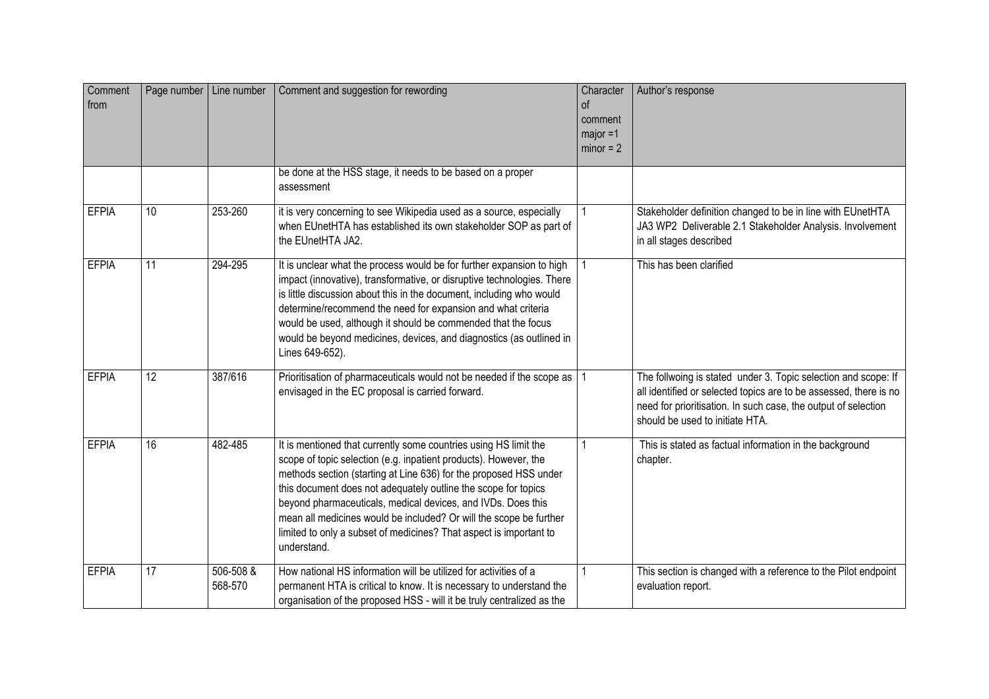| Comment<br>from | Page number   Line number |                      | Comment and suggestion for rewording                                                                                                                                                                                                                                                                                                                                                                                                                                                                   | Character<br>0f<br>comment<br>$major = 1$<br>$minor = 2$ | Author's response                                                                                                                                                                                                                        |
|-----------------|---------------------------|----------------------|--------------------------------------------------------------------------------------------------------------------------------------------------------------------------------------------------------------------------------------------------------------------------------------------------------------------------------------------------------------------------------------------------------------------------------------------------------------------------------------------------------|----------------------------------------------------------|------------------------------------------------------------------------------------------------------------------------------------------------------------------------------------------------------------------------------------------|
|                 |                           |                      | be done at the HSS stage, it needs to be based on a proper<br>assessment                                                                                                                                                                                                                                                                                                                                                                                                                               |                                                          |                                                                                                                                                                                                                                          |
| <b>EFPIA</b>    | 10                        | 253-260              | it is very concerning to see Wikipedia used as a source, especially<br>when EUnetHTA has established its own stakeholder SOP as part of<br>the EUnetHTA JA2.                                                                                                                                                                                                                                                                                                                                           |                                                          | Stakeholder definition changed to be in line with EUnetHTA<br>JA3 WP2 Deliverable 2.1 Stakeholder Analysis. Involvement<br>in all stages described                                                                                       |
| <b>EFPIA</b>    | $\overline{11}$           | 294-295              | It is unclear what the process would be for further expansion to high<br>impact (innovative), transformative, or disruptive technologies. There<br>is little discussion about this in the document, including who would<br>determine/recommend the need for expansion and what criteria<br>would be used, although it should be commended that the focus<br>would be beyond medicines, devices, and diagnostics (as outlined in<br>Lines 649-652).                                                     |                                                          | This has been clarified                                                                                                                                                                                                                  |
| <b>EFPIA</b>    | 12                        | 387/616              | Prioritisation of pharmaceuticals would not be needed if the scope as<br>envisaged in the EC proposal is carried forward.                                                                                                                                                                                                                                                                                                                                                                              |                                                          | The follwoing is stated under 3. Topic selection and scope: If<br>all identified or selected topics are to be assessed, there is no<br>need for prioritisation. In such case, the output of selection<br>should be used to initiate HTA. |
| <b>EFPIA</b>    | 16                        | 482-485              | It is mentioned that currently some countries using HS limit the<br>scope of topic selection (e.g. inpatient products). However, the<br>methods section (starting at Line 636) for the proposed HSS under<br>this document does not adequately outline the scope for topics<br>beyond pharmaceuticals, medical devices, and IVDs. Does this<br>mean all medicines would be included? Or will the scope be further<br>limited to only a subset of medicines? That aspect is important to<br>understand. |                                                          | This is stated as factual information in the background<br>chapter.                                                                                                                                                                      |
| <b>EFPIA</b>    | 17                        | 506-508 &<br>568-570 | How national HS information will be utilized for activities of a<br>permanent HTA is critical to know. It is necessary to understand the<br>organisation of the proposed HSS - will it be truly centralized as the                                                                                                                                                                                                                                                                                     |                                                          | This section is changed with a reference to the Pilot endpoint<br>evaluation report.                                                                                                                                                     |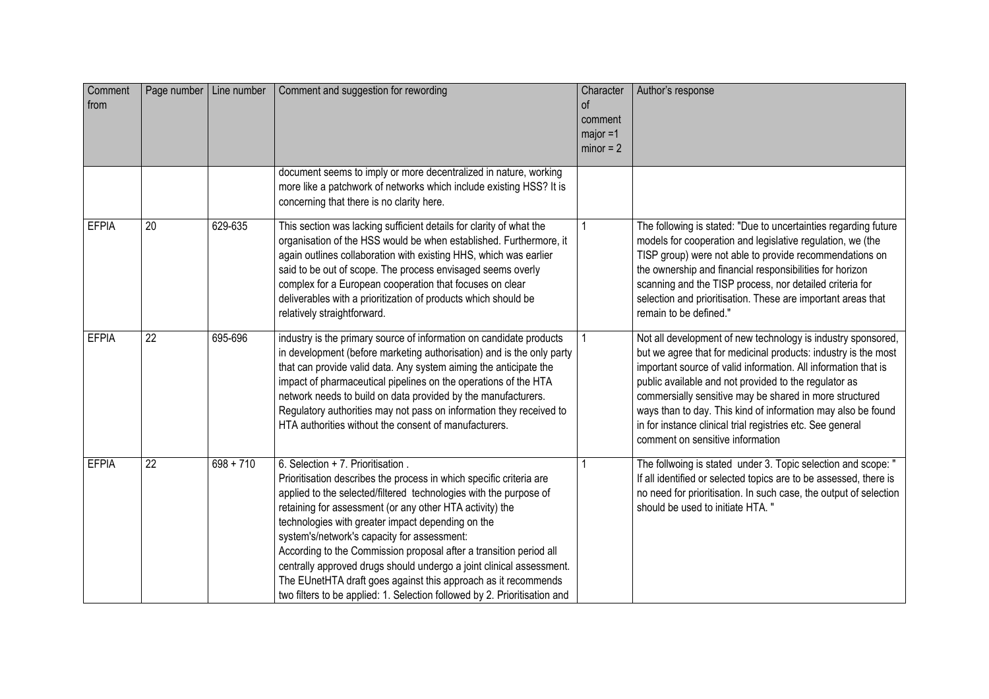| Comment<br>from |                 | Page number   Line number | Comment and suggestion for rewording                                                                                                                                                                                                                                                                                                                                                                                                                                                                                                                                                                                                       | Character<br><sub>of</sub><br>comment<br>$maior = 1$<br>$minor = 2$ | Author's response                                                                                                                                                                                                                                                                                                                                                                                                                                                                      |
|-----------------|-----------------|---------------------------|--------------------------------------------------------------------------------------------------------------------------------------------------------------------------------------------------------------------------------------------------------------------------------------------------------------------------------------------------------------------------------------------------------------------------------------------------------------------------------------------------------------------------------------------------------------------------------------------------------------------------------------------|---------------------------------------------------------------------|----------------------------------------------------------------------------------------------------------------------------------------------------------------------------------------------------------------------------------------------------------------------------------------------------------------------------------------------------------------------------------------------------------------------------------------------------------------------------------------|
|                 |                 |                           | document seems to imply or more decentralized in nature, working<br>more like a patchwork of networks which include existing HSS? It is<br>concerning that there is no clarity here.                                                                                                                                                                                                                                                                                                                                                                                                                                                       |                                                                     |                                                                                                                                                                                                                                                                                                                                                                                                                                                                                        |
| <b>EFPIA</b>    | 20              | 629-635                   | This section was lacking sufficient details for clarity of what the<br>organisation of the HSS would be when established. Furthermore, it<br>again outlines collaboration with existing HHS, which was earlier<br>said to be out of scope. The process envisaged seems overly<br>complex for a European cooperation that focuses on clear<br>deliverables with a prioritization of products which should be<br>relatively straightforward.                                                                                                                                                                                                 |                                                                     | The following is stated: "Due to uncertainties regarding future<br>models for cooperation and legislative regulation, we (the<br>TISP group) were not able to provide recommendations on<br>the ownership and financial responsibilities for horizon<br>scanning and the TISP process, nor detailed criteria for<br>selection and prioritisation. These are important areas that<br>remain to be defined."                                                                             |
| <b>EFPIA</b>    | $\overline{22}$ | 695-696                   | industry is the primary source of information on candidate products<br>in development (before marketing authorisation) and is the only party<br>that can provide valid data. Any system aiming the anticipate the<br>impact of pharmaceutical pipelines on the operations of the HTA<br>network needs to build on data provided by the manufacturers.<br>Regulatory authorities may not pass on information they received to<br>HTA authorities without the consent of manufacturers.                                                                                                                                                      |                                                                     | Not all development of new technology is industry sponsored,<br>but we agree that for medicinal products: industry is the most<br>important source of valid information. All information that is<br>public available and not provided to the regulator as<br>commersially sensitive may be shared in more structured<br>ways than to day. This kind of information may also be found<br>in for instance clinical trial registries etc. See general<br>comment on sensitive information |
| <b>EFPIA</b>    | $\overline{22}$ | $698 + 710$               | 6. Selection + 7. Prioritisation.<br>Prioritisation describes the process in which specific criteria are<br>applied to the selected/filtered technologies with the purpose of<br>retaining for assessment (or any other HTA activity) the<br>technologies with greater impact depending on the<br>system's/network's capacity for assessment:<br>According to the Commission proposal after a transition period all<br>centrally approved drugs should undergo a joint clinical assessment.<br>The EUnetHTA draft goes against this approach as it recommends<br>two filters to be applied: 1. Selection followed by 2. Prioritisation and |                                                                     | The follwoing is stated under 3. Topic selection and scope: "<br>If all identified or selected topics are to be assessed, there is<br>no need for prioritisation. In such case, the output of selection<br>should be used to initiate HTA. "                                                                                                                                                                                                                                           |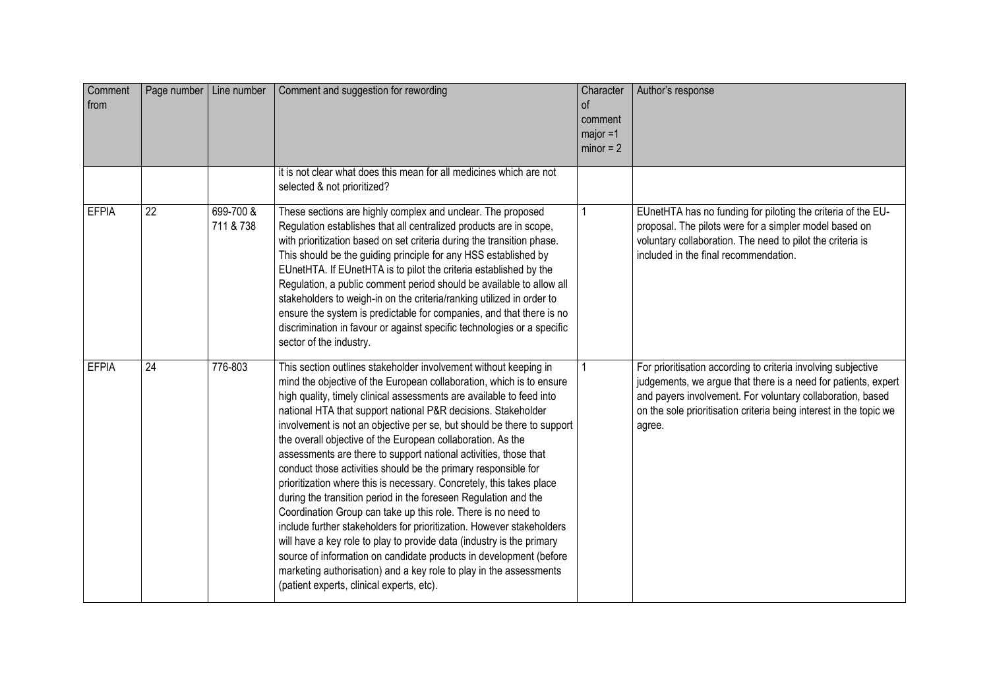| Comment<br>from | Page number   Line number |                        | Comment and suggestion for rewording                                                                                                                                                                                                                                                                                                                                                                                                                                                                                                                                                                                                                                                                                                                                                                                                                                                                                                                                                                                                                                                                                    | Character<br><sub>of</sub><br>comment<br>$major = 1$<br>$minor = 2$ | Author's response                                                                                                                                                                                                                                                             |
|-----------------|---------------------------|------------------------|-------------------------------------------------------------------------------------------------------------------------------------------------------------------------------------------------------------------------------------------------------------------------------------------------------------------------------------------------------------------------------------------------------------------------------------------------------------------------------------------------------------------------------------------------------------------------------------------------------------------------------------------------------------------------------------------------------------------------------------------------------------------------------------------------------------------------------------------------------------------------------------------------------------------------------------------------------------------------------------------------------------------------------------------------------------------------------------------------------------------------|---------------------------------------------------------------------|-------------------------------------------------------------------------------------------------------------------------------------------------------------------------------------------------------------------------------------------------------------------------------|
|                 |                           |                        | it is not clear what does this mean for all medicines which are not<br>selected & not prioritized?                                                                                                                                                                                                                                                                                                                                                                                                                                                                                                                                                                                                                                                                                                                                                                                                                                                                                                                                                                                                                      |                                                                     |                                                                                                                                                                                                                                                                               |
| <b>EFPIA</b>    | 22                        | 699-700 &<br>711 & 738 | These sections are highly complex and unclear. The proposed<br>Regulation establishes that all centralized products are in scope,<br>with prioritization based on set criteria during the transition phase.<br>This should be the guiding principle for any HSS established by<br>EUnetHTA. If EUnetHTA is to pilot the criteria established by the<br>Regulation, a public comment period should be available to allow all<br>stakeholders to weigh-in on the criteria/ranking utilized in order to<br>ensure the system is predictable for companies, and that there is no<br>discrimination in favour or against specific technologies or a specific<br>sector of the industry.                                                                                                                                                                                                                                                                                                                                                                                                                                      |                                                                     | EUnetHTA has no funding for piloting the criteria of the EU-<br>proposal. The pilots were for a simpler model based on<br>voluntary collaboration. The need to pilot the criteria is<br>included in the final recommendation.                                                 |
| <b>EFPIA</b>    | $\overline{24}$           | 776-803                | This section outlines stakeholder involvement without keeping in<br>mind the objective of the European collaboration, which is to ensure<br>high quality, timely clinical assessments are available to feed into<br>national HTA that support national P&R decisions. Stakeholder<br>involvement is not an objective per se, but should be there to support<br>the overall objective of the European collaboration. As the<br>assessments are there to support national activities, those that<br>conduct those activities should be the primary responsible for<br>prioritization where this is necessary. Concretely, this takes place<br>during the transition period in the foreseen Regulation and the<br>Coordination Group can take up this role. There is no need to<br>include further stakeholders for prioritization. However stakeholders<br>will have a key role to play to provide data (industry is the primary<br>source of information on candidate products in development (before<br>marketing authorisation) and a key role to play in the assessments<br>(patient experts, clinical experts, etc). |                                                                     | For prioritisation according to criteria involving subjective<br>judgements, we argue that there is a need for patients, expert<br>and payers involvement. For voluntary collaboration, based<br>on the sole prioritisation criteria being interest in the topic we<br>agree. |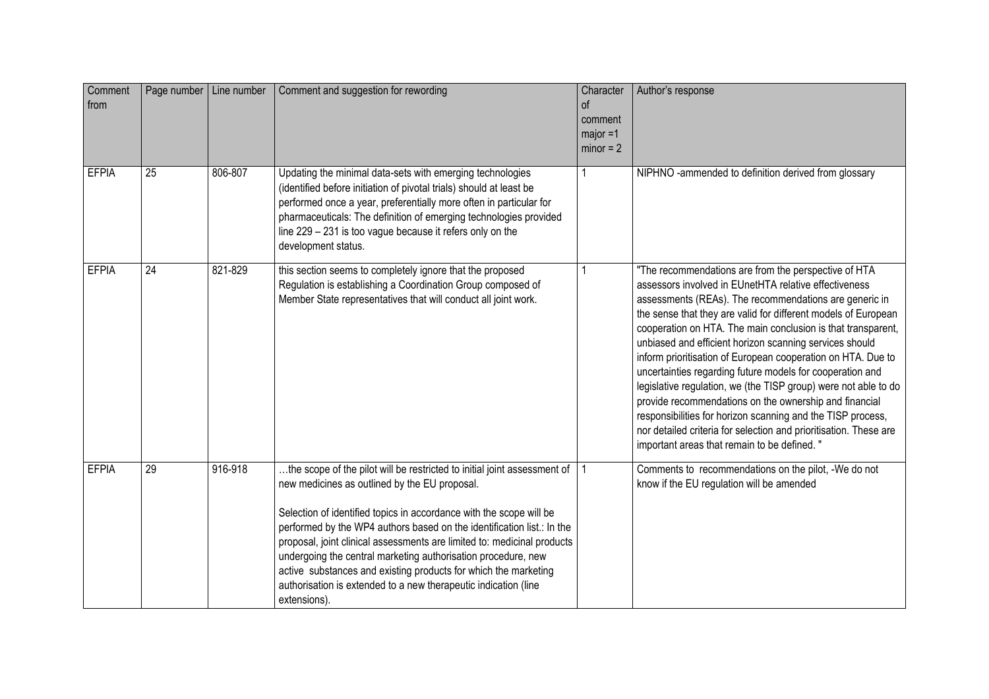| Comment<br>from | Page number   Line number |         | Comment and suggestion for rewording                                                                                                                                                                                                                                                                                                                                                                                                                                                                                                                                         | Character<br>οf<br>comment<br>major =1<br>$minor = 2$ | Author's response                                                                                                                                                                                                                                                                                                                                                                                                                                                                                                                                                                                                                                                                                                                                                                                                  |
|-----------------|---------------------------|---------|------------------------------------------------------------------------------------------------------------------------------------------------------------------------------------------------------------------------------------------------------------------------------------------------------------------------------------------------------------------------------------------------------------------------------------------------------------------------------------------------------------------------------------------------------------------------------|-------------------------------------------------------|--------------------------------------------------------------------------------------------------------------------------------------------------------------------------------------------------------------------------------------------------------------------------------------------------------------------------------------------------------------------------------------------------------------------------------------------------------------------------------------------------------------------------------------------------------------------------------------------------------------------------------------------------------------------------------------------------------------------------------------------------------------------------------------------------------------------|
| <b>EFPIA</b>    | $\overline{25}$           | 806-807 | Updating the minimal data-sets with emerging technologies<br>(identified before initiation of pivotal trials) should at least be<br>performed once a year, preferentially more often in particular for<br>pharmaceuticals: The definition of emerging technologies provided<br>line 229 - 231 is too vague because it refers only on the<br>development status.                                                                                                                                                                                                              |                                                       | NIPHNO-ammended to definition derived from glossary                                                                                                                                                                                                                                                                                                                                                                                                                                                                                                                                                                                                                                                                                                                                                                |
| <b>EFPIA</b>    | $\overline{24}$           | 821-829 | this section seems to completely ignore that the proposed<br>Regulation is establishing a Coordination Group composed of<br>Member State representatives that will conduct all joint work.                                                                                                                                                                                                                                                                                                                                                                                   |                                                       | "The recommendations are from the perspective of HTA<br>assessors involved in EUnetHTA relative effectiveness<br>assessments (REAs). The recommendations are generic in<br>the sense that they are valid for different models of European<br>cooperation on HTA. The main conclusion is that transparent,<br>unbiased and efficient horizon scanning services should<br>inform prioritisation of European cooperation on HTA. Due to<br>uncertainties regarding future models for cooperation and<br>legislative regulation, we (the TISP group) were not able to do<br>provide recommendations on the ownership and financial<br>responsibilities for horizon scanning and the TISP process,<br>nor detailed criteria for selection and prioritisation. These are<br>important areas that remain to be defined. " |
| <b>EFPIA</b>    | $\overline{29}$           | 916-918 | the scope of the pilot will be restricted to initial joint assessment of<br>new medicines as outlined by the EU proposal.<br>Selection of identified topics in accordance with the scope will be<br>performed by the WP4 authors based on the identification list.: In the<br>proposal, joint clinical assessments are limited to: medicinal products<br>undergoing the central marketing authorisation procedure, new<br>active substances and existing products for which the marketing<br>authorisation is extended to a new therapeutic indication (line<br>extensions). |                                                       | Comments to recommendations on the pilot, -We do not<br>know if the EU regulation will be amended                                                                                                                                                                                                                                                                                                                                                                                                                                                                                                                                                                                                                                                                                                                  |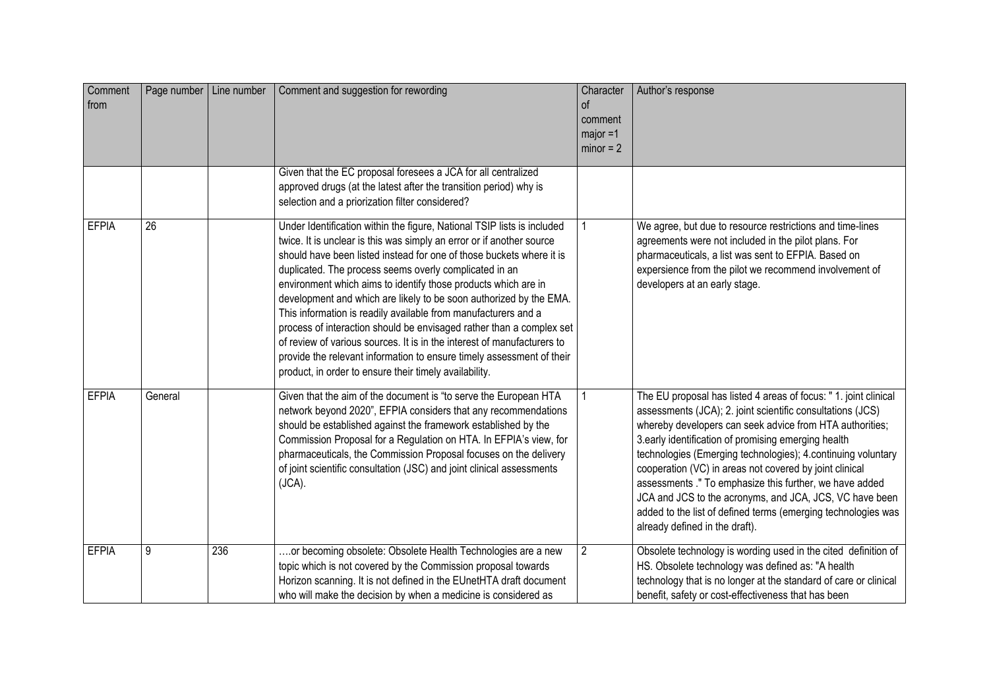| Comment<br>from |                 | Page number   Line number | Comment and suggestion for rewording                                                                                                                                                                                                                                                                                                                                                                                                                                                                                                                                                                                                                                                                                                                                               | Character<br>$\circ$<br>comment<br>$major = 1$<br>$minor = 2$ | Author's response                                                                                                                                                                                                                                                                                                                                                                                                                                                                                                                                                                                     |
|-----------------|-----------------|---------------------------|------------------------------------------------------------------------------------------------------------------------------------------------------------------------------------------------------------------------------------------------------------------------------------------------------------------------------------------------------------------------------------------------------------------------------------------------------------------------------------------------------------------------------------------------------------------------------------------------------------------------------------------------------------------------------------------------------------------------------------------------------------------------------------|---------------------------------------------------------------|-------------------------------------------------------------------------------------------------------------------------------------------------------------------------------------------------------------------------------------------------------------------------------------------------------------------------------------------------------------------------------------------------------------------------------------------------------------------------------------------------------------------------------------------------------------------------------------------------------|
|                 |                 |                           | Given that the EC proposal foresees a JCA for all centralized<br>approved drugs (at the latest after the transition period) why is<br>selection and a priorization filter considered?                                                                                                                                                                                                                                                                                                                                                                                                                                                                                                                                                                                              |                                                               |                                                                                                                                                                                                                                                                                                                                                                                                                                                                                                                                                                                                       |
| <b>EFPIA</b>    | $\overline{26}$ |                           | Under Identification within the figure, National TSIP lists is included<br>twice. It is unclear is this was simply an error or if another source<br>should have been listed instead for one of those buckets where it is<br>duplicated. The process seems overly complicated in an<br>environment which aims to identify those products which are in<br>development and which are likely to be soon authorized by the EMA.<br>This information is readily available from manufacturers and a<br>process of interaction should be envisaged rather than a complex set<br>of review of various sources. It is in the interest of manufacturers to<br>provide the relevant information to ensure timely assessment of their<br>product, in order to ensure their timely availability. |                                                               | We agree, but due to resource restrictions and time-lines<br>agreements were not included in the pilot plans. For<br>pharmaceuticals, a list was sent to EFPIA. Based on<br>expersience from the pilot we recommend involvement of<br>developers at an early stage.                                                                                                                                                                                                                                                                                                                                   |
| <b>EFPIA</b>    | General         |                           | Given that the aim of the document is "to serve the European HTA<br>network beyond 2020", EFPIA considers that any recommendations<br>should be established against the framework established by the<br>Commission Proposal for a Regulation on HTA. In EFPIA's view, for<br>pharmaceuticals, the Commission Proposal focuses on the delivery<br>of joint scientific consultation (JSC) and joint clinical assessments<br>$(JCA)$ .                                                                                                                                                                                                                                                                                                                                                |                                                               | The EU proposal has listed 4 areas of focus: " 1. joint clinical<br>assessments (JCA); 2. joint scientific consultations (JCS)<br>whereby developers can seek advice from HTA authorities;<br>3.early identification of promising emerging health<br>technologies (Emerging technologies); 4.continuing voluntary<br>cooperation (VC) in areas not covered by joint clinical<br>assessments ." To emphasize this further, we have added<br>JCA and JCS to the acronyms, and JCA, JCS, VC have been<br>added to the list of defined terms (emerging technologies was<br>already defined in the draft). |
| <b>EFPIA</b>    | 9               | 236                       | .or becoming obsolete: Obsolete Health Technologies are a new<br>topic which is not covered by the Commission proposal towards<br>Horizon scanning. It is not defined in the EUnetHTA draft document<br>who will make the decision by when a medicine is considered as                                                                                                                                                                                                                                                                                                                                                                                                                                                                                                             | $\overline{2}$                                                | Obsolete technology is wording used in the cited definition of<br>HS. Obsolete technology was defined as: "A health<br>technology that is no longer at the standard of care or clinical<br>benefit, safety or cost-effectiveness that has been                                                                                                                                                                                                                                                                                                                                                        |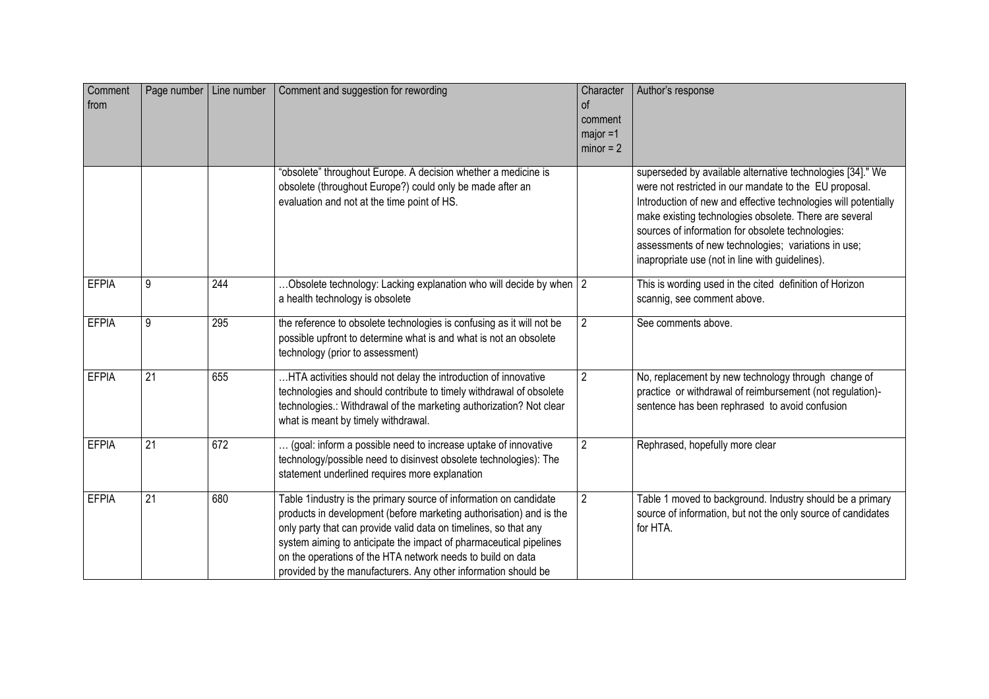| Comment<br>from | Page number   Line number |     | Comment and suggestion for rewording                                                                                                                                                                                                                                                                                                                                                                                | Character<br>0f<br>comment<br>$major = 1$<br>$minor = 2$ | Author's response                                                                                                                                                                                                                                                                                                                                                                                                |
|-----------------|---------------------------|-----|---------------------------------------------------------------------------------------------------------------------------------------------------------------------------------------------------------------------------------------------------------------------------------------------------------------------------------------------------------------------------------------------------------------------|----------------------------------------------------------|------------------------------------------------------------------------------------------------------------------------------------------------------------------------------------------------------------------------------------------------------------------------------------------------------------------------------------------------------------------------------------------------------------------|
|                 |                           |     | "obsolete" throughout Europe. A decision whether a medicine is<br>obsolete (throughout Europe?) could only be made after an<br>evaluation and not at the time point of HS.                                                                                                                                                                                                                                          |                                                          | superseded by available alternative technologies [34]." We<br>were not restricted in our mandate to the EU proposal.<br>Introduction of new and effective technologies will potentially<br>make existing technologies obsolete. There are several<br>sources of information for obsolete technologies:<br>assessments of new technologies; variations in use;<br>inapropriate use (not in line with guidelines). |
| <b>EFPIA</b>    | 9                         | 244 | Obsolete technology: Lacking explanation who will decide by when 2<br>a health technology is obsolete                                                                                                                                                                                                                                                                                                               |                                                          | This is wording used in the cited definition of Horizon<br>scannig, see comment above.                                                                                                                                                                                                                                                                                                                           |
| <b>EFPIA</b>    | 9                         | 295 | the reference to obsolete technologies is confusing as it will not be<br>possible upfront to determine what is and what is not an obsolete<br>technology (prior to assessment)                                                                                                                                                                                                                                      | $\overline{2}$                                           | See comments above.                                                                                                                                                                                                                                                                                                                                                                                              |
| <b>EFPIA</b>    | 21                        | 655 | HTA activities should not delay the introduction of innovative<br>technologies and should contribute to timely withdrawal of obsolete<br>technologies.: Withdrawal of the marketing authorization? Not clear<br>what is meant by timely withdrawal.                                                                                                                                                                 | $\overline{c}$                                           | No, replacement by new technology through change of<br>practice or withdrawal of reimbursement (not regulation)-<br>sentence has been rephrased to avoid confusion                                                                                                                                                                                                                                               |
| <b>EFPIA</b>    | 21                        | 672 | (goal: inform a possible need to increase uptake of innovative<br>technology/possible need to disinvest obsolete technologies): The<br>statement underlined requires more explanation                                                                                                                                                                                                                               | $\overline{2}$                                           | Rephrased, hopefully more clear                                                                                                                                                                                                                                                                                                                                                                                  |
| <b>EFPIA</b>    | 21                        | 680 | Table 1industry is the primary source of information on candidate<br>products in development (before marketing authorisation) and is the<br>only party that can provide valid data on timelines, so that any<br>system aiming to anticipate the impact of pharmaceutical pipelines<br>on the operations of the HTA network needs to build on data<br>provided by the manufacturers. Any other information should be | $\overline{2}$                                           | Table 1 moved to background. Industry should be a primary<br>source of information, but not the only source of candidates<br>for HTA.                                                                                                                                                                                                                                                                            |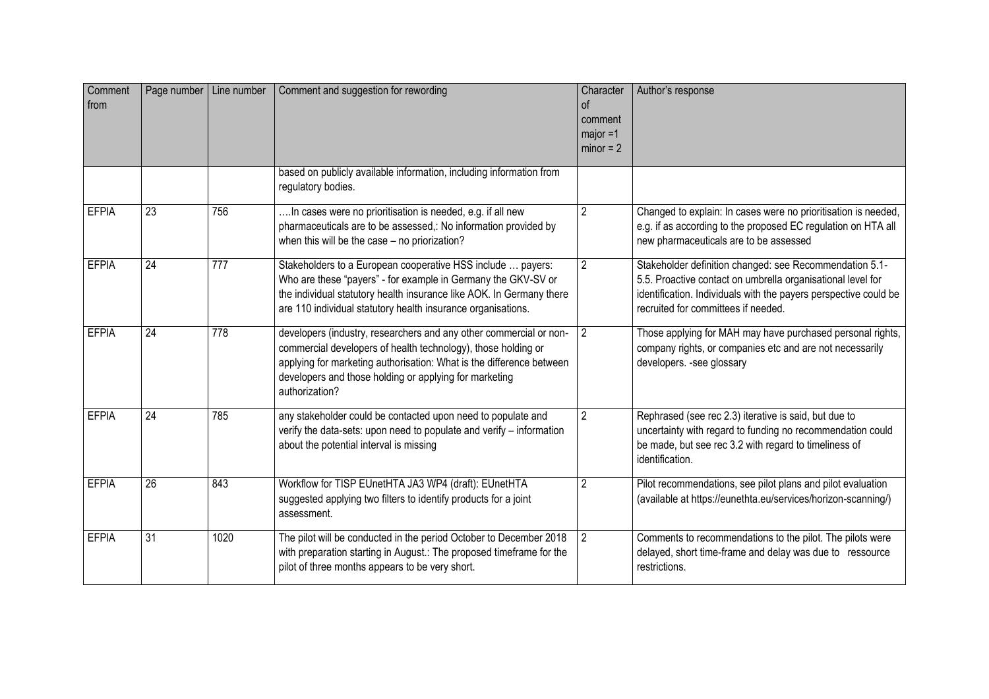| Comment<br>from |                 | Page number   Line number | Comment and suggestion for rewording                                                                                                                                                                                                                                                    | Character<br><sub>of</sub><br>comment<br>major =1<br>$minor = 2$ | Author's response                                                                                                                                                                                                                 |
|-----------------|-----------------|---------------------------|-----------------------------------------------------------------------------------------------------------------------------------------------------------------------------------------------------------------------------------------------------------------------------------------|------------------------------------------------------------------|-----------------------------------------------------------------------------------------------------------------------------------------------------------------------------------------------------------------------------------|
|                 |                 |                           | based on publicly available information, including information from<br>regulatory bodies.                                                                                                                                                                                               |                                                                  |                                                                                                                                                                                                                                   |
| <b>EFPIA</b>    | 23              | 756                       | In cases were no prioritisation is needed, e.g. if all new<br>pharmaceuticals are to be assessed,: No information provided by<br>when this will be the case - no priorization?                                                                                                          | $\overline{2}$                                                   | Changed to explain: In cases were no prioritisation is needed,<br>e.g. if as according to the proposed EC regulation on HTA all<br>new pharmaceuticals are to be assessed                                                         |
| <b>EFPIA</b>    | 24              | 777                       | Stakeholders to a European cooperative HSS include  payers:<br>Who are these "payers" - for example in Germany the GKV-SV or<br>the individual statutory health insurance like AOK. In Germany there<br>are 110 individual statutory health insurance organisations.                    | $\overline{2}$                                                   | Stakeholder definition changed: see Recommendation 5.1-<br>5.5. Proactive contact on umbrella organisational level for<br>identification. Individuals with the payers perspective could be<br>recruited for committees if needed. |
| <b>EFPIA</b>    | $\overline{24}$ | 778                       | developers (industry, researchers and any other commercial or non-<br>commercial developers of health technology), those holding or<br>applying for marketing authorisation: What is the difference between<br>developers and those holding or applying for marketing<br>authorization? | $\overline{2}$                                                   | Those applying for MAH may have purchased personal rights,<br>company rights, or companies etc and are not necessarily<br>developers. - see glossary                                                                              |
| <b>EFPIA</b>    | $\overline{24}$ | 785                       | any stakeholder could be contacted upon need to populate and<br>verify the data-sets: upon need to populate and verify - information<br>about the potential interval is missing                                                                                                         | $\overline{2}$                                                   | Rephrased (see rec 2.3) iterative is said, but due to<br>uncertainty with regard to funding no recommendation could<br>be made, but see rec 3.2 with regard to timeliness of<br>identification.                                   |
| <b>EFPIA</b>    | $\overline{26}$ | 843                       | Workflow for TISP EUnetHTA JA3 WP4 (draft): EUnetHTA<br>suggested applying two filters to identify products for a joint<br>assessment.                                                                                                                                                  | $\overline{2}$                                                   | Pilot recommendations, see pilot plans and pilot evaluation<br>(available at https://eunethta.eu/services/horizon-scanning/)                                                                                                      |
| <b>EFPIA</b>    | $\overline{31}$ | 1020                      | The pilot will be conducted in the period October to December 2018<br>with preparation starting in August.: The proposed timeframe for the<br>pilot of three months appears to be very short.                                                                                           | $\overline{2}$                                                   | Comments to recommendations to the pilot. The pilots were<br>delayed, short time-frame and delay was due to ressource<br>restrictions.                                                                                            |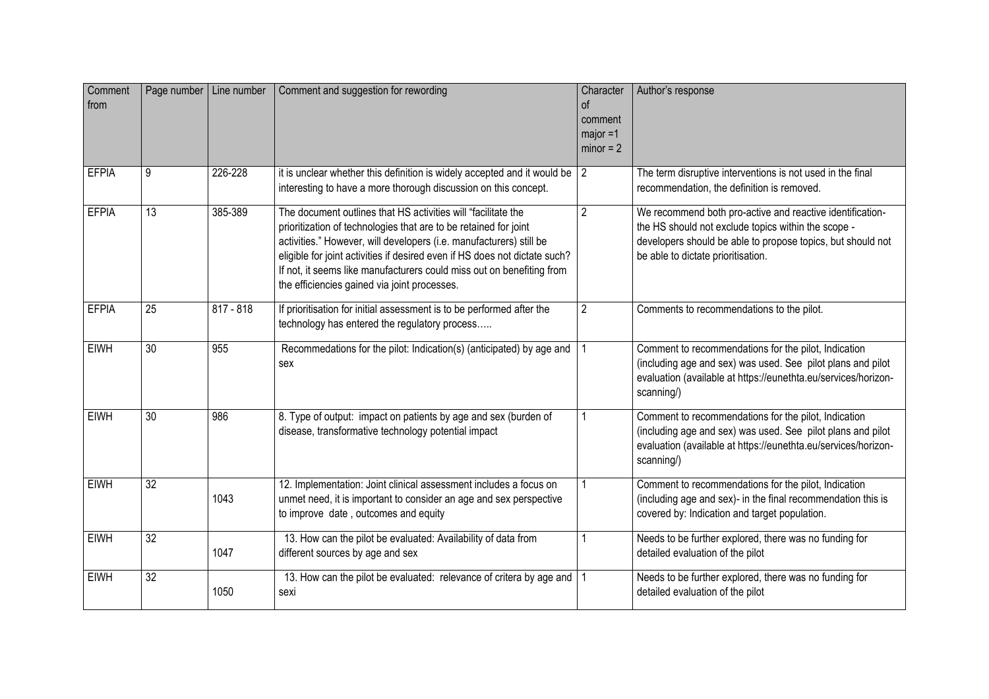| Comment<br>from | Page number     | Line number | Comment and suggestion for rewording                                                                                                                                                                                                                                                                                                                                                                            | Character<br>of<br>comment<br>$major = 1$<br>$minor = 2$ | Author's response                                                                                                                                                                                                     |
|-----------------|-----------------|-------------|-----------------------------------------------------------------------------------------------------------------------------------------------------------------------------------------------------------------------------------------------------------------------------------------------------------------------------------------------------------------------------------------------------------------|----------------------------------------------------------|-----------------------------------------------------------------------------------------------------------------------------------------------------------------------------------------------------------------------|
| <b>EFPIA</b>    | 9               | 226-228     | it is unclear whether this definition is widely accepted and it would be $\vert$ 2<br>interesting to have a more thorough discussion on this concept.                                                                                                                                                                                                                                                           |                                                          | The term disruptive interventions is not used in the final<br>recommendation, the definition is removed.                                                                                                              |
| <b>EFPIA</b>    | 13              | 385-389     | The document outlines that HS activities will "facilitate the<br>prioritization of technologies that are to be retained for joint<br>activities." However, will developers (i.e. manufacturers) still be<br>eligible for joint activities if desired even if HS does not dictate such?<br>If not, it seems like manufacturers could miss out on benefiting from<br>the efficiencies gained via joint processes. | $\overline{2}$                                           | We recommend both pro-active and reactive identification-<br>the HS should not exclude topics within the scope -<br>developers should be able to propose topics, but should not<br>be able to dictate prioritisation. |
| <b>EFPIA</b>    | $\overline{25}$ | $817 - 818$ | If prioritisation for initial assessment is to be performed after the<br>technology has entered the regulatory process                                                                                                                                                                                                                                                                                          | $\overline{2}$                                           | Comments to recommendations to the pilot.                                                                                                                                                                             |
| <b>EIWH</b>     | 30              | 955         | Recommedations for the pilot: Indication(s) (anticipated) by age and<br>sex                                                                                                                                                                                                                                                                                                                                     |                                                          | Comment to recommendations for the pilot, Indication<br>(including age and sex) was used. See pilot plans and pilot<br>evaluation (available at https://eunethta.eu/services/horizon-<br>scanning/)                   |
| <b>EIWH</b>     | 30              | 986         | 8. Type of output: impact on patients by age and sex (burden of<br>disease, transformative technology potential impact                                                                                                                                                                                                                                                                                          |                                                          | Comment to recommendations for the pilot, Indication<br>(including age and sex) was used. See pilot plans and pilot<br>evaluation (available at https://eunethta.eu/services/horizon-<br>scanning/)                   |
| <b>EIWH</b>     | $\overline{32}$ | 1043        | 12. Implementation: Joint clinical assessment includes a focus on<br>unmet need, it is important to consider an age and sex perspective<br>to improve date, outcomes and equity                                                                                                                                                                                                                                 |                                                          | Comment to recommendations for the pilot, Indication<br>(including age and sex)- in the final recommendation this is<br>covered by: Indication and target population.                                                 |
| <b>EIWH</b>     | 32              | 1047        | 13. How can the pilot be evaluated: Availability of data from<br>different sources by age and sex                                                                                                                                                                                                                                                                                                               |                                                          | Needs to be further explored, there was no funding for<br>detailed evaluation of the pilot                                                                                                                            |
| <b>EIWH</b>     | $\overline{32}$ | 1050        | 13. How can the pilot be evaluated: relevance of critera by age and<br>sexi                                                                                                                                                                                                                                                                                                                                     |                                                          | Needs to be further explored, there was no funding for<br>detailed evaluation of the pilot                                                                                                                            |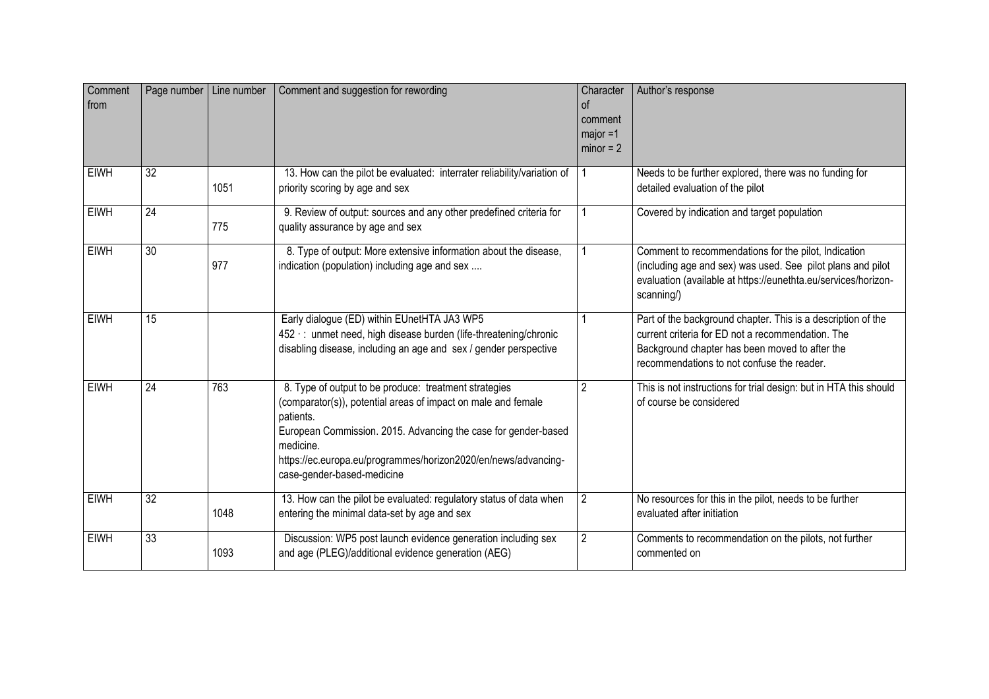| Comment<br>from |                 | Page number   Line number | Comment and suggestion for rewording                                                                                                                                                                                                                                                                               | Character<br><sub>of</sub><br>comment<br>$maior = 1$<br>$minor = 2$ | Author's response                                                                                                                                                                                                 |
|-----------------|-----------------|---------------------------|--------------------------------------------------------------------------------------------------------------------------------------------------------------------------------------------------------------------------------------------------------------------------------------------------------------------|---------------------------------------------------------------------|-------------------------------------------------------------------------------------------------------------------------------------------------------------------------------------------------------------------|
| <b>EIWH</b>     | $\overline{32}$ | 1051                      | 13. How can the pilot be evaluated: interrater reliability/variation of<br>priority scoring by age and sex                                                                                                                                                                                                         |                                                                     | Needs to be further explored, there was no funding for<br>detailed evaluation of the pilot                                                                                                                        |
| <b>EIWH</b>     | $\overline{24}$ | 775                       | 9. Review of output: sources and any other predefined criteria for<br>quality assurance by age and sex                                                                                                                                                                                                             |                                                                     | Covered by indication and target population                                                                                                                                                                       |
| <b>EIWH</b>     | $\overline{30}$ | 977                       | 8. Type of output: More extensive information about the disease,<br>indication (population) including age and sex                                                                                                                                                                                                  |                                                                     | Comment to recommendations for the pilot, Indication<br>(including age and sex) was used. See pilot plans and pilot<br>evaluation (available at https://eunethta.eu/services/horizon-<br>scanning/)               |
| <b>EIWH</b>     | $\overline{15}$ |                           | Early dialogue (ED) within EUnetHTA JA3 WP5<br>452 : unmet need, high disease burden (life-threatening/chronic<br>disabling disease, including an age and sex / gender perspective                                                                                                                                 |                                                                     | Part of the background chapter. This is a description of the<br>current criteria for ED not a recommendation. The<br>Background chapter has been moved to after the<br>recommendations to not confuse the reader. |
| <b>EIWH</b>     | $\overline{24}$ | 763                       | 8. Type of output to be produce: treatment strategies<br>(comparator(s)), potential areas of impact on male and female<br>patients.<br>European Commission. 2015. Advancing the case for gender-based<br>medicine.<br>https://ec.europa.eu/programmes/horizon2020/en/news/advancing-<br>case-gender-based-medicine | $\overline{2}$                                                      | This is not instructions for trial design: but in HTA this should<br>of course be considered                                                                                                                      |
| <b>EIWH</b>     | $\overline{32}$ | 1048                      | 13. How can the pilot be evaluated: regulatory status of data when<br>entering the minimal data-set by age and sex                                                                                                                                                                                                 | $\overline{2}$                                                      | No resources for this in the pilot, needs to be further<br>evaluated after initiation                                                                                                                             |
| <b>EIWH</b>     | 33              | 1093                      | Discussion: WP5 post launch evidence generation including sex<br>and age (PLEG)/additional evidence generation (AEG)                                                                                                                                                                                               | $\overline{2}$                                                      | Comments to recommendation on the pilots, not further<br>commented on                                                                                                                                             |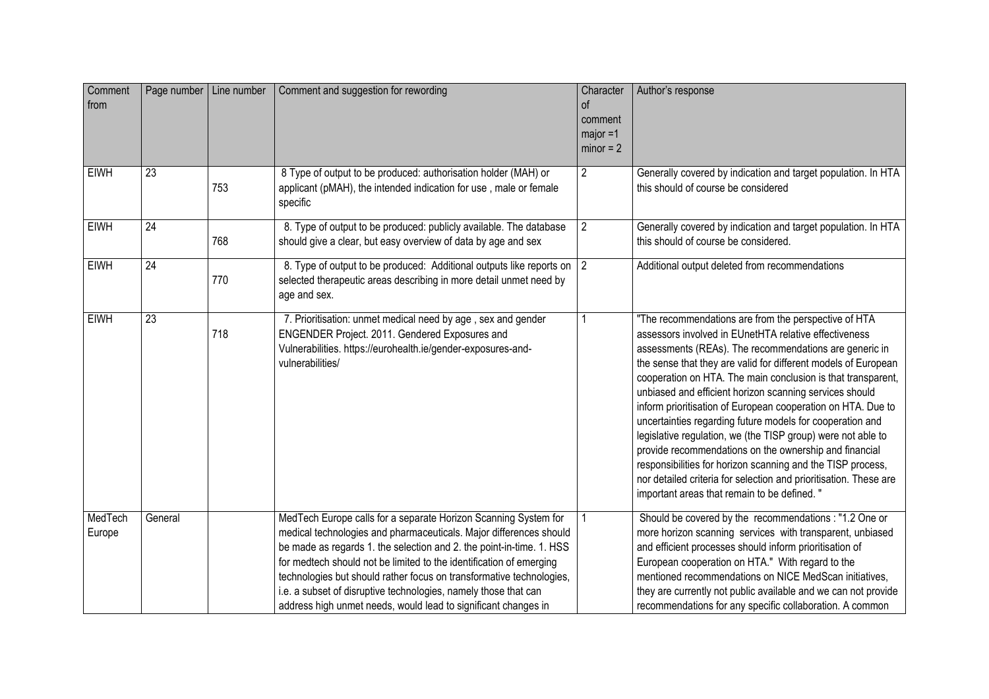| Comment<br>from   | Page number   Line number |     | Comment and suggestion for rewording                                                                                                                                                                                                                                                                                                                                                                                                                                                              | Character<br>0f<br>comment<br>major =1<br>$minor = 2$ | Author's response                                                                                                                                                                                                                                                                                                                                                                                                                                                                                                                                                                                                                                                                                                                                                                                               |
|-------------------|---------------------------|-----|---------------------------------------------------------------------------------------------------------------------------------------------------------------------------------------------------------------------------------------------------------------------------------------------------------------------------------------------------------------------------------------------------------------------------------------------------------------------------------------------------|-------------------------------------------------------|-----------------------------------------------------------------------------------------------------------------------------------------------------------------------------------------------------------------------------------------------------------------------------------------------------------------------------------------------------------------------------------------------------------------------------------------------------------------------------------------------------------------------------------------------------------------------------------------------------------------------------------------------------------------------------------------------------------------------------------------------------------------------------------------------------------------|
| <b>EIWH</b>       | $\overline{23}$           | 753 | 8 Type of output to be produced: authorisation holder (MAH) or<br>applicant (pMAH), the intended indication for use, male or female<br>specific                                                                                                                                                                                                                                                                                                                                                   | $\overline{2}$                                        | Generally covered by indication and target population. In HTA<br>this should of course be considered                                                                                                                                                                                                                                                                                                                                                                                                                                                                                                                                                                                                                                                                                                            |
| <b>EIWH</b>       | 24                        | 768 | 8. Type of output to be produced: publicly available. The database<br>should give a clear, but easy overview of data by age and sex                                                                                                                                                                                                                                                                                                                                                               | $\overline{2}$                                        | Generally covered by indication and target population. In HTA<br>this should of course be considered.                                                                                                                                                                                                                                                                                                                                                                                                                                                                                                                                                                                                                                                                                                           |
| <b>EIWH</b>       | 24                        | 770 | 8. Type of output to be produced: Additional outputs like reports on 2<br>selected therapeutic areas describing in more detail unmet need by<br>age and sex.                                                                                                                                                                                                                                                                                                                                      |                                                       | Additional output deleted from recommendations                                                                                                                                                                                                                                                                                                                                                                                                                                                                                                                                                                                                                                                                                                                                                                  |
| <b>EIWH</b>       | $\overline{23}$           | 718 | 7. Prioritisation: unmet medical need by age, sex and gender<br>ENGENDER Project. 2011. Gendered Exposures and<br>Vulnerabilities. https://eurohealth.ie/gender-exposures-and-<br>vulnerabilities/                                                                                                                                                                                                                                                                                                |                                                       | "The recommendations are from the perspective of HTA<br>assessors involved in EUnetHTA relative effectiveness<br>assessments (REAs). The recommendations are generic in<br>the sense that they are valid for different models of European<br>cooperation on HTA. The main conclusion is that transparent,<br>unbiased and efficient horizon scanning services should<br>inform prioritisation of European cooperation on HTA. Due to<br>uncertainties regarding future models for cooperation and<br>legislative regulation, we (the TISP group) were not able to<br>provide recommendations on the ownership and financial<br>responsibilities for horizon scanning and the TISP process,<br>nor detailed criteria for selection and prioritisation. These are<br>important areas that remain to be defined. " |
| MedTech<br>Europe | General                   |     | MedTech Europe calls for a separate Horizon Scanning System for<br>medical technologies and pharmaceuticals. Major differences should<br>be made as regards 1. the selection and 2. the point-in-time. 1. HSS<br>for medtech should not be limited to the identification of emerging<br>technologies but should rather focus on transformative technologies,<br>i.e. a subset of disruptive technologies, namely those that can<br>address high unmet needs, would lead to significant changes in |                                                       | Should be covered by the recommendations : "1.2 One or<br>more horizon scanning services with transparent, unbiased<br>and efficient processes should inform prioritisation of<br>European cooperation on HTA." With regard to the<br>mentioned recommendations on NICE MedScan initiatives,<br>they are currently not public available and we can not provide<br>recommendations for any specific collaboration. A common                                                                                                                                                                                                                                                                                                                                                                                      |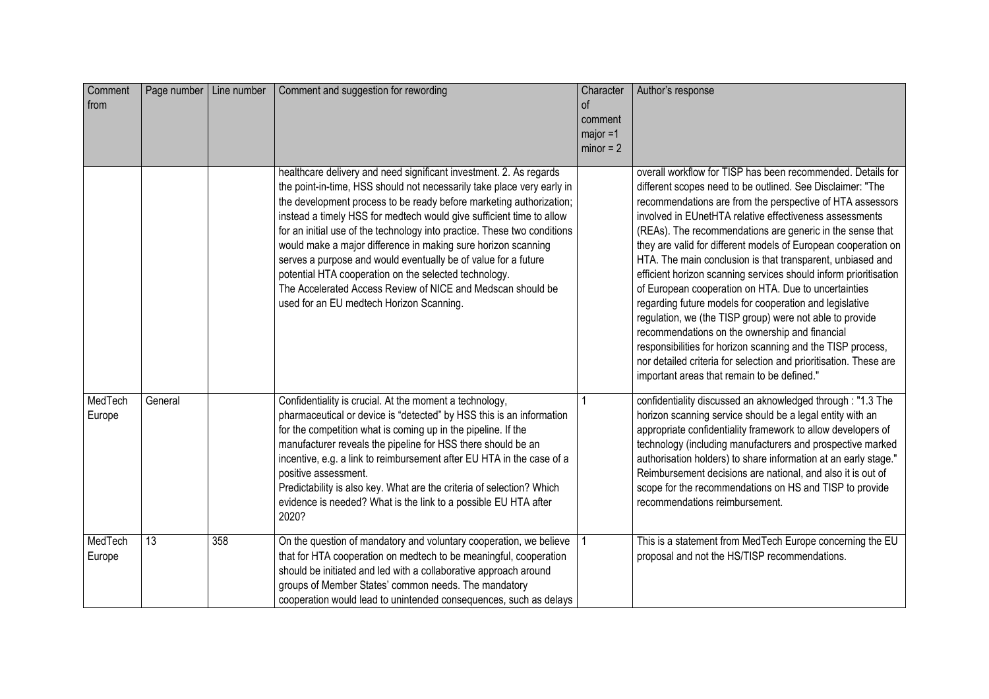| Comment<br>from   | Page number   Line number |     | Comment and suggestion for rewording                                                                                                                                                                                                                                                                                                                                                                                                                                                                                                                                                                                                                                           | Character<br>of<br>comment<br>$major = 1$<br>$minor = 2$ | Author's response                                                                                                                                                                                                                                                                                                                                                                                                                                                                                                                                                                                                                                                                                                                                                                                                                                                                                                                      |
|-------------------|---------------------------|-----|--------------------------------------------------------------------------------------------------------------------------------------------------------------------------------------------------------------------------------------------------------------------------------------------------------------------------------------------------------------------------------------------------------------------------------------------------------------------------------------------------------------------------------------------------------------------------------------------------------------------------------------------------------------------------------|----------------------------------------------------------|----------------------------------------------------------------------------------------------------------------------------------------------------------------------------------------------------------------------------------------------------------------------------------------------------------------------------------------------------------------------------------------------------------------------------------------------------------------------------------------------------------------------------------------------------------------------------------------------------------------------------------------------------------------------------------------------------------------------------------------------------------------------------------------------------------------------------------------------------------------------------------------------------------------------------------------|
|                   |                           |     | healthcare delivery and need significant investment. 2. As regards<br>the point-in-time, HSS should not necessarily take place very early in<br>the development process to be ready before marketing authorization;<br>instead a timely HSS for medtech would give sufficient time to allow<br>for an initial use of the technology into practice. These two conditions<br>would make a major difference in making sure horizon scanning<br>serves a purpose and would eventually be of value for a future<br>potential HTA cooperation on the selected technology.<br>The Accelerated Access Review of NICE and Medscan should be<br>used for an EU medtech Horizon Scanning. |                                                          | overall workflow for TISP has been recommended. Details for<br>different scopes need to be outlined. See Disclaimer: "The<br>recommendations are from the perspective of HTA assessors<br>involved in EUnetHTA relative effectiveness assessments<br>(REAs). The recommendations are generic in the sense that<br>they are valid for different models of European cooperation on<br>HTA. The main conclusion is that transparent, unbiased and<br>efficient horizon scanning services should inform prioritisation<br>of European cooperation on HTA. Due to uncertainties<br>regarding future models for cooperation and legislative<br>regulation, we (the TISP group) were not able to provide<br>recommendations on the ownership and financial<br>responsibilities for horizon scanning and the TISP process,<br>nor detailed criteria for selection and prioritisation. These are<br>important areas that remain to be defined." |
| MedTech<br>Europe | General                   |     | Confidentiality is crucial. At the moment a technology,<br>pharmaceutical or device is "detected" by HSS this is an information<br>for the competition what is coming up in the pipeline. If the<br>manufacturer reveals the pipeline for HSS there should be an<br>incentive, e.g. a link to reimbursement after EU HTA in the case of a<br>positive assessment.<br>Predictability is also key. What are the criteria of selection? Which<br>evidence is needed? What is the link to a possible EU HTA after<br>2020?                                                                                                                                                         |                                                          | confidentiality discussed an aknowledged through : "1.3 The<br>horizon scanning service should be a legal entity with an<br>appropriate confidentiality framework to allow developers of<br>technology (including manufacturers and prospective marked<br>authorisation holders) to share information at an early stage."<br>Reimbursement decisions are national, and also it is out of<br>scope for the recommendations on HS and TISP to provide<br>recommendations reimbursement.                                                                                                                                                                                                                                                                                                                                                                                                                                                  |
| MedTech<br>Europe | 13                        | 358 | On the question of mandatory and voluntary cooperation, we believe<br>that for HTA cooperation on medtech to be meaningful, cooperation<br>should be initiated and led with a collaborative approach around<br>groups of Member States' common needs. The mandatory<br>cooperation would lead to unintended consequences, such as delays                                                                                                                                                                                                                                                                                                                                       |                                                          | This is a statement from MedTech Europe concerning the EU<br>proposal and not the HS/TISP recommendations.                                                                                                                                                                                                                                                                                                                                                                                                                                                                                                                                                                                                                                                                                                                                                                                                                             |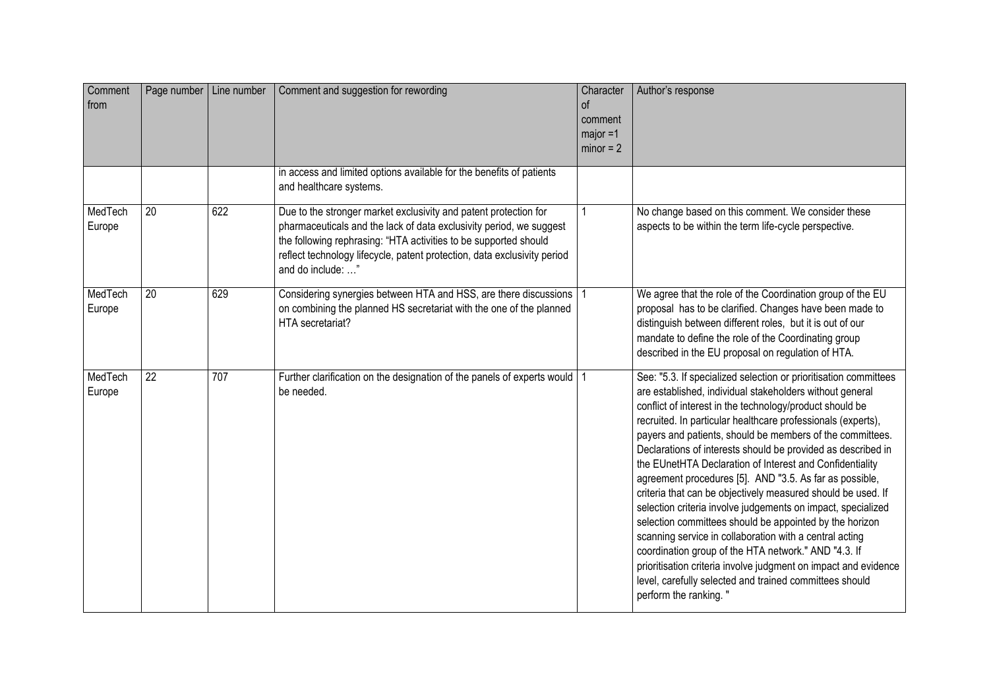| Comment<br>from   | Page number   Line number |     | Comment and suggestion for rewording                                                                                                                                                                                                                                                                         | Character<br><sub>of</sub><br>comment<br>$major = 1$<br>$minor = 2$ | Author's response                                                                                                                                                                                                                                                                                                                                                                                                                                                                                                                                                                                                                                                                                                                                                                                                                                                                                                                                                                 |
|-------------------|---------------------------|-----|--------------------------------------------------------------------------------------------------------------------------------------------------------------------------------------------------------------------------------------------------------------------------------------------------------------|---------------------------------------------------------------------|-----------------------------------------------------------------------------------------------------------------------------------------------------------------------------------------------------------------------------------------------------------------------------------------------------------------------------------------------------------------------------------------------------------------------------------------------------------------------------------------------------------------------------------------------------------------------------------------------------------------------------------------------------------------------------------------------------------------------------------------------------------------------------------------------------------------------------------------------------------------------------------------------------------------------------------------------------------------------------------|
|                   |                           |     | in access and limited options available for the benefits of patients<br>and healthcare systems.                                                                                                                                                                                                              |                                                                     |                                                                                                                                                                                                                                                                                                                                                                                                                                                                                                                                                                                                                                                                                                                                                                                                                                                                                                                                                                                   |
| MedTech<br>Europe | 20                        | 622 | Due to the stronger market exclusivity and patent protection for<br>pharmaceuticals and the lack of data exclusivity period, we suggest<br>the following rephrasing: "HTA activities to be supported should<br>reflect technology lifecycle, patent protection, data exclusivity period<br>and do include: " | 1                                                                   | No change based on this comment. We consider these<br>aspects to be within the term life-cycle perspective.                                                                                                                                                                                                                                                                                                                                                                                                                                                                                                                                                                                                                                                                                                                                                                                                                                                                       |
| MedTech<br>Europe | $\overline{20}$           | 629 | Considering synergies between HTA and HSS, are there discussions<br>on combining the planned HS secretariat with the one of the planned<br>HTA secretariat?                                                                                                                                                  |                                                                     | We agree that the role of the Coordination group of the EU<br>proposal has to be clarified. Changes have been made to<br>distinguish between different roles, but it is out of our<br>mandate to define the role of the Coordinating group<br>described in the EU proposal on regulation of HTA.                                                                                                                                                                                                                                                                                                                                                                                                                                                                                                                                                                                                                                                                                  |
| MedTech<br>Europe | $\overline{22}$           | 707 | Further clarification on the designation of the panels of experts would 1<br>be needed.                                                                                                                                                                                                                      |                                                                     | See: "5.3. If specialized selection or prioritisation committees<br>are established, individual stakeholders without general<br>conflict of interest in the technology/product should be<br>recruited. In particular healthcare professionals (experts),<br>payers and patients, should be members of the committees.<br>Declarations of interests should be provided as described in<br>the EUnetHTA Declaration of Interest and Confidentiality<br>agreement procedures [5]. AND "3.5. As far as possible,<br>criteria that can be objectively measured should be used. If<br>selection criteria involve judgements on impact, specialized<br>selection committees should be appointed by the horizon<br>scanning service in collaboration with a central acting<br>coordination group of the HTA network." AND "4.3. If<br>prioritisation criteria involve judgment on impact and evidence<br>level, carefully selected and trained committees should<br>perform the ranking." |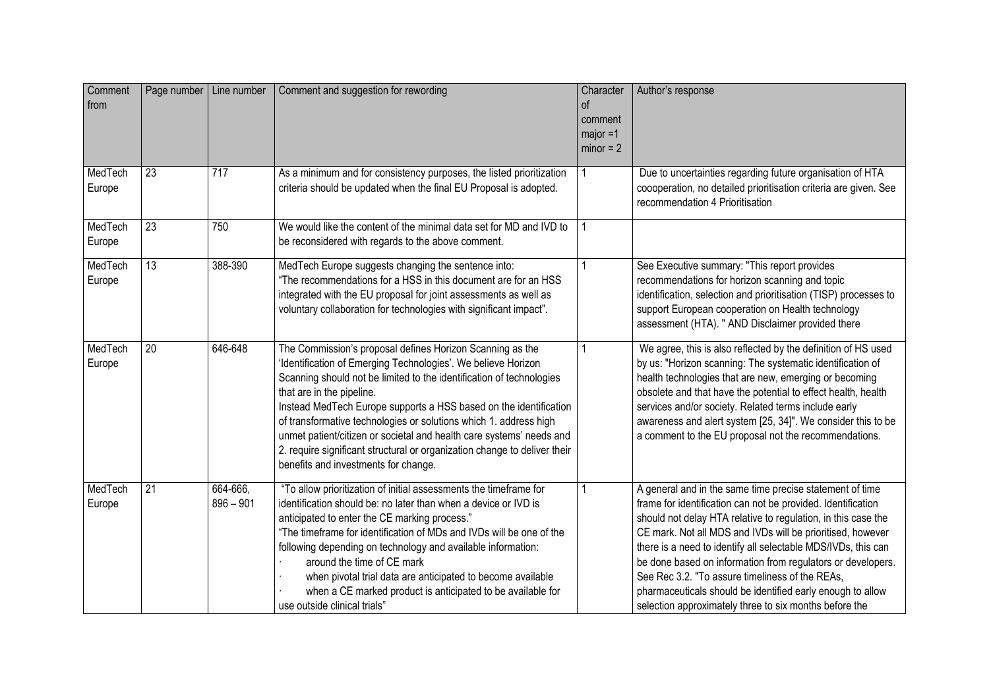| Comment<br>from   | Page number   Line number |                         | Comment and suggestion for rewording                                                                                                                                                                                                                                                                                                                                                                                                                                                                                                                                   | Character<br><sub>of</sub><br>comment<br>$major = 1$<br>$minor = 2$ | Author's response                                                                                                                                                                                                                                                                                                                                                                                                                                                                                                                                                  |
|-------------------|---------------------------|-------------------------|------------------------------------------------------------------------------------------------------------------------------------------------------------------------------------------------------------------------------------------------------------------------------------------------------------------------------------------------------------------------------------------------------------------------------------------------------------------------------------------------------------------------------------------------------------------------|---------------------------------------------------------------------|--------------------------------------------------------------------------------------------------------------------------------------------------------------------------------------------------------------------------------------------------------------------------------------------------------------------------------------------------------------------------------------------------------------------------------------------------------------------------------------------------------------------------------------------------------------------|
| MedTech<br>Europe | $\overline{23}$           | $\overline{717}$        | As a minimum and for consistency purposes, the listed prioritization<br>criteria should be updated when the final EU Proposal is adopted.                                                                                                                                                                                                                                                                                                                                                                                                                              |                                                                     | Due to uncertainties regarding future organisation of HTA<br>coooperation, no detailed prioritisation criteria are given. See<br>recommendation 4 Prioritisation                                                                                                                                                                                                                                                                                                                                                                                                   |
| MedTech<br>Europe | 23                        | 750                     | We would like the content of the minimal data set for MD and IVD to<br>be reconsidered with regards to the above comment.                                                                                                                                                                                                                                                                                                                                                                                                                                              | 1                                                                   |                                                                                                                                                                                                                                                                                                                                                                                                                                                                                                                                                                    |
| MedTech<br>Europe | $\overline{13}$           | 388-390                 | MedTech Europe suggests changing the sentence into:<br>"The recommendations for a HSS in this document are for an HSS<br>integrated with the EU proposal for joint assessments as well as<br>voluntary collaboration for technologies with significant impact".                                                                                                                                                                                                                                                                                                        | 1                                                                   | See Executive summary: "This report provides<br>recommendations for horizon scanning and topic<br>identification, selection and prioritisation (TISP) processes to<br>support European cooperation on Health technology<br>assessment (HTA). " AND Disclaimer provided there                                                                                                                                                                                                                                                                                       |
| MedTech<br>Europe | 20                        | 646-648                 | The Commission's proposal defines Horizon Scanning as the<br>'Identification of Emerging Technologies'. We believe Horizon<br>Scanning should not be limited to the identification of technologies<br>that are in the pipeline.<br>Instead MedTech Europe supports a HSS based on the identification<br>of transformative technologies or solutions which 1. address high<br>unmet patient/citizen or societal and health care systems' needs and<br>2. require significant structural or organization change to deliver their<br>benefits and investments for change. |                                                                     | We agree, this is also reflected by the definition of HS used<br>by us: "Horizon scanning: The systematic identification of<br>health technologies that are new, emerging or becoming<br>obsolete and that have the potential to effect health, health<br>services and/or society. Related terms include early<br>awareness and alert system [25, 34]". We consider this to be<br>a comment to the EU proposal not the recommendations.                                                                                                                            |
| MedTech<br>Europe | 21                        | 664-666,<br>$896 - 901$ | "To allow prioritization of initial assessments the timeframe for<br>identification should be: no later than when a device or IVD is<br>anticipated to enter the CE marking process."<br>"The timeframe for identification of MDs and IVDs will be one of the<br>following depending on technology and available information:<br>around the time of CE mark<br>when pivotal trial data are anticipated to become available<br>when a CE marked product is anticipated to be available for<br>use outside clinical trials"                                              |                                                                     | A general and in the same time precise statement of time<br>frame for identification can not be provided. Identification<br>should not delay HTA relative to regulation, in this case the<br>CE mark. Not all MDS and IVDs will be prioritised, however<br>there is a need to identify all selectable MDS/IVDs, this can<br>be done based on information from regulators or developers.<br>See Rec 3.2. "To assure timeliness of the REAs,<br>pharmaceuticals should be identified early enough to allow<br>selection approximately three to six months before the |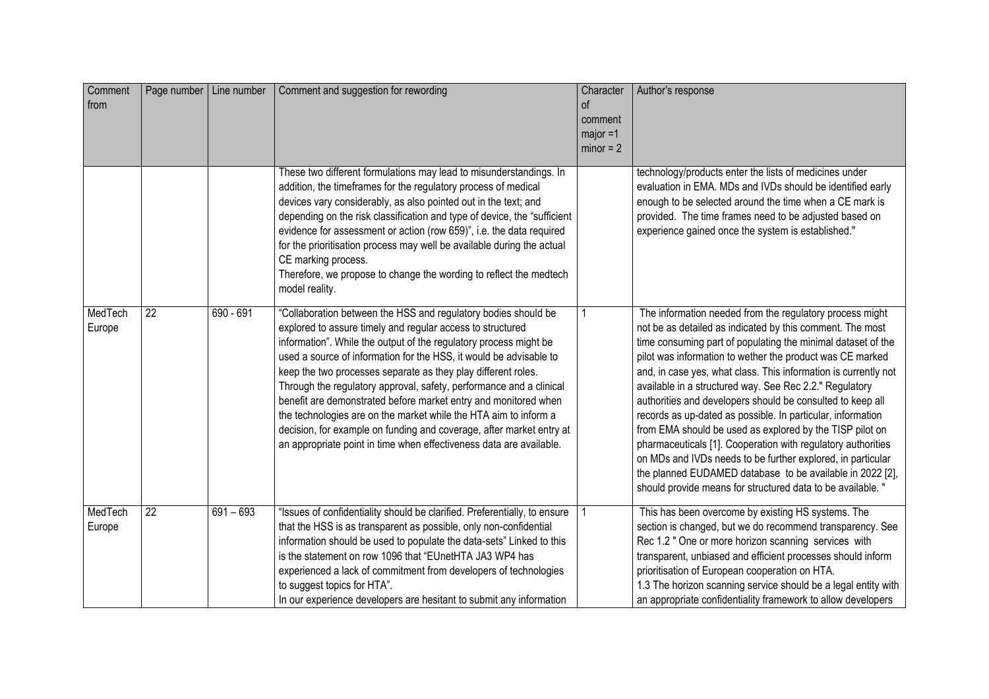| Comment<br>from   | Page number   Line number |             | Comment and suggestion for rewording                                                                                                                                                                                                                                                                                                                                                                                                                                                                                                                                                                                                                                                                  | Character<br>of<br>comment<br>$major = 1$<br>$minor = 2$ | Author's response                                                                                                                                                                                                                                                                                                                                                                                                                                                                                                                                                                                                                                                                                                                                                                                                                    |
|-------------------|---------------------------|-------------|-------------------------------------------------------------------------------------------------------------------------------------------------------------------------------------------------------------------------------------------------------------------------------------------------------------------------------------------------------------------------------------------------------------------------------------------------------------------------------------------------------------------------------------------------------------------------------------------------------------------------------------------------------------------------------------------------------|----------------------------------------------------------|--------------------------------------------------------------------------------------------------------------------------------------------------------------------------------------------------------------------------------------------------------------------------------------------------------------------------------------------------------------------------------------------------------------------------------------------------------------------------------------------------------------------------------------------------------------------------------------------------------------------------------------------------------------------------------------------------------------------------------------------------------------------------------------------------------------------------------------|
|                   |                           |             | These two different formulations may lead to misunderstandings. In<br>addition, the timeframes for the regulatory process of medical<br>devices vary considerably, as also pointed out in the text; and<br>depending on the risk classification and type of device, the "sufficient"<br>evidence for assessment or action (row 659)", i.e. the data required<br>for the prioritisation process may well be available during the actual<br>CE marking process.<br>Therefore, we propose to change the wording to reflect the medtech<br>model reality.                                                                                                                                                 |                                                          | technology/products enter the lists of medicines under<br>evaluation in EMA. MDs and IVDs should be identified early<br>enough to be selected around the time when a CE mark is<br>provided. The time frames need to be adjusted based on<br>experience gained once the system is established."                                                                                                                                                                                                                                                                                                                                                                                                                                                                                                                                      |
| MedTech<br>Europe | $\overline{22}$           | $690 - 691$ | "Collaboration between the HSS and regulatory bodies should be<br>explored to assure timely and regular access to structured<br>information". While the output of the regulatory process might be<br>used a source of information for the HSS, it would be advisable to<br>keep the two processes separate as they play different roles.<br>Through the regulatory approval, safety, performance and a clinical<br>benefit are demonstrated before market entry and monitored when<br>the technologies are on the market while the HTA aim to inform a<br>decision, for example on funding and coverage, after market entry at<br>an appropriate point in time when effectiveness data are available. |                                                          | The information needed from the regulatory process might<br>not be as detailed as indicated by this comment. The most<br>time consuming part of populating the minimal dataset of the<br>pilot was information to wether the product was CE marked<br>and, in case yes, what class. This information is currently not<br>available in a structured way. See Rec 2.2." Regulatory<br>authorities and developers should be consulted to keep all<br>records as up-dated as possible. In particular, information<br>from EMA should be used as explored by the TISP pilot on<br>pharmaceuticals [1]. Cooperation with regulatory authorities<br>on MDs and IVDs needs to be further explored, in particular<br>the planned EUDAMED database to be available in 2022 [2],<br>should provide means for structured data to be available. " |
| MedTech<br>Europe | $\overline{22}$           | $691 - 693$ | "Issues of confidentiality should be clarified. Preferentially, to ensure<br>that the HSS is as transparent as possible, only non-confidential<br>information should be used to populate the data-sets" Linked to this<br>is the statement on row 1096 that "EUnetHTA JA3 WP4 has<br>experienced a lack of commitment from developers of technologies<br>to suggest topics for HTA".<br>In our experience developers are hesitant to submit any information                                                                                                                                                                                                                                           |                                                          | This has been overcome by existing HS systems. The<br>section is changed, but we do recommend transparency. See<br>Rec 1.2 " One or more horizon scanning services with<br>transparent, unbiased and efficient processes should inform<br>prioritisation of European cooperation on HTA.<br>1.3 The horizon scanning service should be a legal entity with<br>an appropriate confidentiality framework to allow developers                                                                                                                                                                                                                                                                                                                                                                                                           |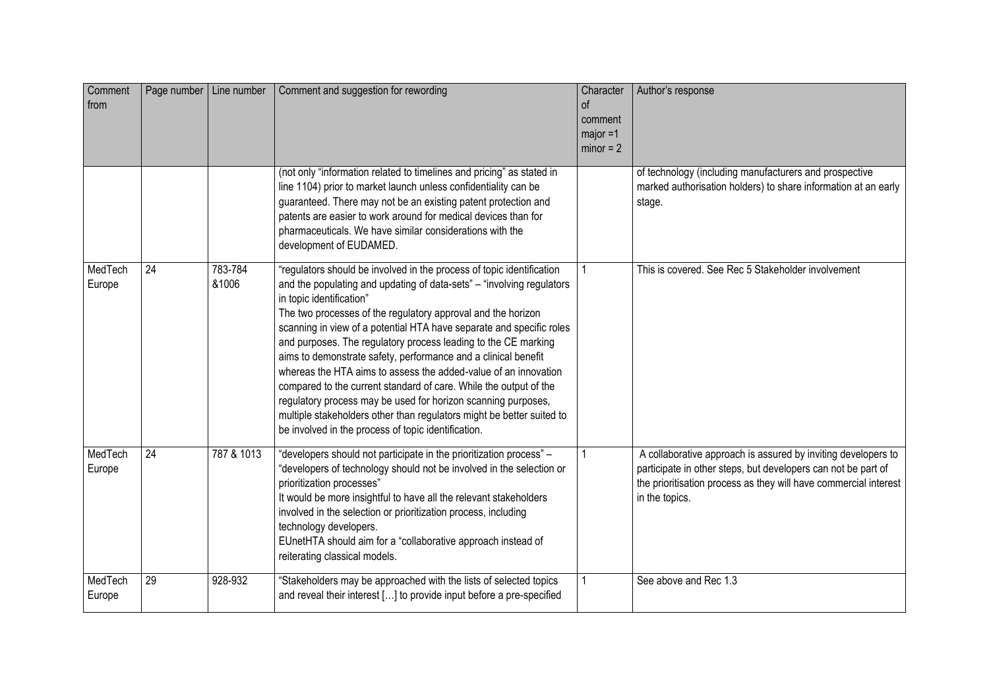| Comment<br>from   | Page number   Line number |                  | Comment and suggestion for rewording                                                                                                                                                                                                                                                                                                                                                                                                                                                                                                                                                                                                                                                                                                                                                             | Character<br>of<br>comment<br>$major = 1$<br>$minor = 2$ | Author's response                                                                                                                                                                                                    |
|-------------------|---------------------------|------------------|--------------------------------------------------------------------------------------------------------------------------------------------------------------------------------------------------------------------------------------------------------------------------------------------------------------------------------------------------------------------------------------------------------------------------------------------------------------------------------------------------------------------------------------------------------------------------------------------------------------------------------------------------------------------------------------------------------------------------------------------------------------------------------------------------|----------------------------------------------------------|----------------------------------------------------------------------------------------------------------------------------------------------------------------------------------------------------------------------|
|                   |                           |                  | (not only "information related to timelines and pricing" as stated in<br>line 1104) prior to market launch unless confidentiality can be<br>guaranteed. There may not be an existing patent protection and<br>patents are easier to work around for medical devices than for<br>pharmaceuticals. We have similar considerations with the<br>development of EUDAMED.                                                                                                                                                                                                                                                                                                                                                                                                                              |                                                          | of technology (including manufacturers and prospective<br>marked authorisation holders) to share information at an early<br>stage.                                                                                   |
| MedTech<br>Europe | 24                        | 783-784<br>&1006 | "regulators should be involved in the process of topic identification<br>and the populating and updating of data-sets" - "involving regulators"<br>in topic identification"<br>The two processes of the regulatory approval and the horizon<br>scanning in view of a potential HTA have separate and specific roles<br>and purposes. The regulatory process leading to the CE marking<br>aims to demonstrate safety, performance and a clinical benefit<br>whereas the HTA aims to assess the added-value of an innovation<br>compared to the current standard of care. While the output of the<br>regulatory process may be used for horizon scanning purposes,<br>multiple stakeholders other than regulators might be better suited to<br>be involved in the process of topic identification. |                                                          | This is covered. See Rec 5 Stakeholder involvement                                                                                                                                                                   |
| MedTech<br>Europe | $\overline{24}$           | 787 & 1013       | "developers should not participate in the prioritization process" -<br>"developers of technology should not be involved in the selection or<br>prioritization processes"<br>It would be more insightful to have all the relevant stakeholders<br>involved in the selection or prioritization process, including<br>technology developers.<br>EUnetHTA should aim for a "collaborative approach instead of<br>reiterating classical models.                                                                                                                                                                                                                                                                                                                                                       |                                                          | A collaborative approach is assured by inviting developers to<br>participate in other steps, but developers can not be part of<br>the prioritisation process as they will have commercial interest<br>in the topics. |
| MedTech<br>Europe | $\overline{29}$           | 928-932          | "Stakeholders may be approached with the lists of selected topics<br>and reveal their interest [] to provide input before a pre-specified                                                                                                                                                                                                                                                                                                                                                                                                                                                                                                                                                                                                                                                        |                                                          | See above and Rec 1.3                                                                                                                                                                                                |